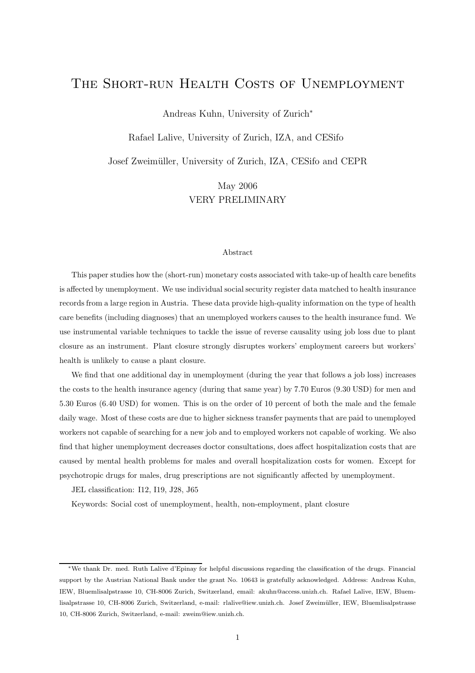## THE SHORT-RUN HEALTH COSTS OF UNEMPLOYMENT

Andreas Kuhn, University of Zurich<sup>∗</sup>

Rafael Lalive, University of Zurich, IZA, and CESifo

Josef Zweim¨uller, University of Zurich, IZA, CESifo and CEPR

May 2006 VERY PRELIMINARY

#### Abstract

This paper studies how the (short-run) monetary costs associated with take-up of health care benefits is affected by unemployment. We use individual social security register data matched to health insurance records from a large region in Austria. These data provide high-quality information on the type of health care benefits (including diagnoses) that an unemployed workers causes to the health insurance fund. We use instrumental variable techniques to tackle the issue of reverse causality using job loss due to plant closure as an instrument. Plant closure strongly disruptes workers' employment careers but workers' health is unlikely to cause a plant closure.

We find that one additional day in unemployment (during the year that follows a job loss) increases the costs to the health insurance agency (during that same year) by 7.70 Euros (9.30 USD) for men and 5.30 Euros (6.40 USD) for women. This is on the order of 10 percent of both the male and the female daily wage. Most of these costs are due to higher sickness transfer payments that are paid to unemployed workers not capable of searching for a new job and to employed workers not capable of working. We also find that higher unemployment decreases doctor consultations, does affect hospitalization costs that are caused by mental health problems for males and overall hospitalization costs for women. Except for psychotropic drugs for males, drug prescriptions are not significantly affected by unemployment.

JEL classification: I12, I19, J28, J65

Keywords: Social cost of unemployment, health, non-employment, plant closure

<sup>∗</sup>We thank Dr. med. Ruth Lalive d'Epinay for helpful discussions regarding the classification of the drugs. Financial support by the Austrian National Bank under the grant No. 10643 is gratefully acknowledged. Address: Andreas Kuhn, IEW, Bluemlisalpstrasse 10, CH-8006 Zurich, Switzerland, email: akuhn@access.unizh.ch. Rafael Lalive, IEW, Bluemlisalpstrasse 10, CH-8006 Zurich, Switzerland, e-mail: rlalive@iew.unizh.ch. Josef Zweim¨uller, IEW, Bluemlisalpstrasse 10, CH-8006 Zurich, Switzerland, e-mail: zweim@iew.unizh.ch.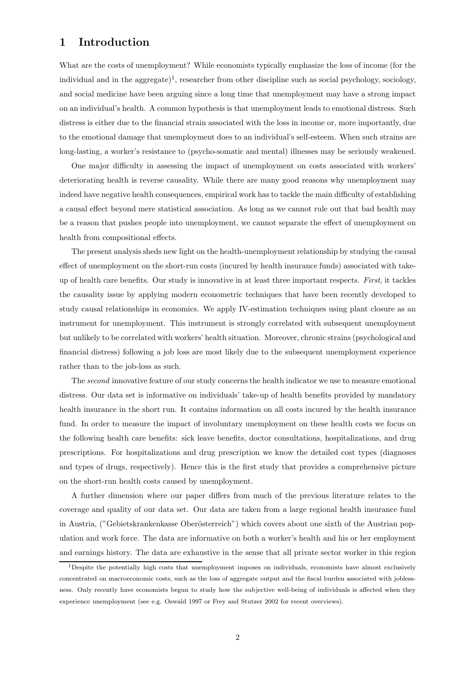## 1 Introduction

What are the costs of unemployment? While economists typically emphasize the loss of income (for the individual and in the aggregate)<sup>1</sup>, researcher from other discipline such as social psychology, sociology, and social medicine have been arguing since a long time that unemployment may have a strong impact on an individual's health. A common hypothesis is that unemployment leads to emotional distress. Such distress is either due to the financial strain associated with the loss in income or, more importantly, due to the emotional damage that unemployment does to an individual's self-esteem. When such strains are long-lasting, a worker's resistance to (psycho-somatic and mental) illnesses may be seriously weakened.

One major difficulty in assessing the impact of unemployment on costs associated with workers' deteriorating health is reverse causality. While there are many good reasons why unemployment may indeed have negative health consequences, empirical work has to tackle the main difficulty of establishing a causal effect beyond mere statistical association. As long as we cannot rule out that bad health may be a reason that pushes people into unemployment, we cannot separate the effect of unemployment on health from compositional effects.

The present analysis sheds new light on the health-unemployment relationship by studying the causal effect of unemployment on the short-run costs (incured by health insurance funds) associated with takeup of health care benefits. Our study is innovative in at least three important respects. First, it tackles the causality issue by applying modern econometric techniques that have been recently developed to study causal relationships in economics. We apply IV-estimation techniques using plant closure as an instrument for unemployment. This instrument is strongly correlated with subsequent unemployment but unlikely to be correlated with workers' health situation. Moreover, chronic strains (psychological and financial distress) following a job loss are most likely due to the subsequent unemployment experience rather than to the job-loss as such.

The second innovative feature of our study concerns the health indicator we use to measure emotional distress. Our data set is informative on individuals' take-up of health benefits provided by mandatory health insurance in the short run. It contains information on all costs incured by the health insurance fund. In order to measure the impact of involuntary unemployment on these health costs we focus on the following health care benefits: sick leave benefits, doctor consultations, hospitalizations, and drug prescriptions. For hospitalizations and drug prescription we know the detailed cost types (diagnoses and types of drugs, respectively). Hence this is the first study that provides a comprehensive picture on the short-run health costs caused by unemployment.

A further dimension where our paper differs from much of the previous literature relates to the coverage and quality of our data set. Our data are taken from a large regional health insurance fund in Austria, ("Gebietskrankenkasse Oberösterreich") which covers about one sixth of the Austrian population and work force. The data are informative on both a worker's health and his or her employment and earnings history. The data are exhaustive in the sense that all private sector worker in this region

<sup>1</sup>Despite the potentially high costs that unemployment imposes on individuals, economists have almost exclusively concentrated on macroeconomic costs, such as the loss of aggregate output and the fiscal burden associated with joblessness. Only recently have economists begun to study how the subjective well-being of individuals is affected when they experience unemployment (see e.g. Oswald 1997 or Frey and Stutzer 2002 for recent overviews).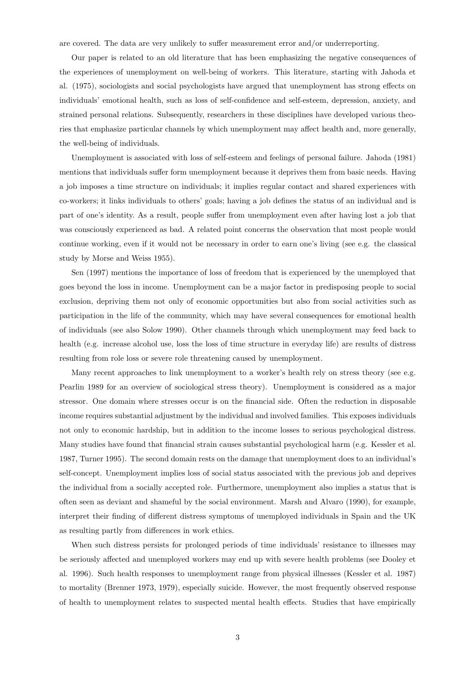are covered. The data are very unlikely to suffer measurement error and/or underreporting.

Our paper is related to an old literature that has been emphasizing the negative consequences of the experiences of unemployment on well-being of workers. This literature, starting with Jahoda et al. (1975), sociologists and social psychologists have argued that unemployment has strong effects on individuals' emotional health, such as loss of self-confidence and self-esteem, depression, anxiety, and strained personal relations. Subsequently, researchers in these disciplines have developed various theories that emphasize particular channels by which unemployment may affect health and, more generally, the well-being of individuals.

Unemployment is associated with loss of self-esteem and feelings of personal failure. Jahoda (1981) mentions that individuals suffer form unemployment because it deprives them from basic needs. Having a job imposes a time structure on individuals; it implies regular contact and shared experiences with co-workers; it links individuals to others' goals; having a job defines the status of an individual and is part of one's identity. As a result, people suffer from unemployment even after having lost a job that was consciously experienced as bad. A related point concerns the observation that most people would continue working, even if it would not be necessary in order to earn one's living (see e.g. the classical study by Morse and Weiss 1955).

Sen (1997) mentions the importance of loss of freedom that is experienced by the unemployed that goes beyond the loss in income. Unemployment can be a major factor in predisposing people to social exclusion, depriving them not only of economic opportunities but also from social activities such as participation in the life of the community, which may have several consequences for emotional health of individuals (see also Solow 1990). Other channels through which unemployment may feed back to health (e.g. increase alcohol use, loss the loss of time structure in everyday life) are results of distress resulting from role loss or severe role threatening caused by unemployment.

Many recent approaches to link unemployment to a worker's health rely on stress theory (see e.g. Pearlin 1989 for an overview of sociological stress theory). Unemployment is considered as a major stressor. One domain where stresses occur is on the financial side. Often the reduction in disposable income requires substantial adjustment by the individual and involved families. This exposes individuals not only to economic hardship, but in addition to the income losses to serious psychological distress. Many studies have found that financial strain causes substantial psychological harm (e.g. Kessler et al. 1987, Turner 1995). The second domain rests on the damage that unemployment does to an individual's self-concept. Unemployment implies loss of social status associated with the previous job and deprives the individual from a socially accepted role. Furthermore, unemployment also implies a status that is often seen as deviant and shameful by the social environment. Marsh and Alvaro (1990), for example, interpret their finding of different distress symptoms of unemployed individuals in Spain and the UK as resulting partly from differences in work ethics.

When such distress persists for prolonged periods of time individuals' resistance to illnesses may be seriously affected and unemployed workers may end up with severe health problems (see Dooley et al. 1996). Such health responses to unemployment range from physical illnesses (Kessler et al. 1987) to mortality (Brenner 1973, 1979), especially suicide. However, the most frequently observed response of health to unemployment relates to suspected mental health effects. Studies that have empirically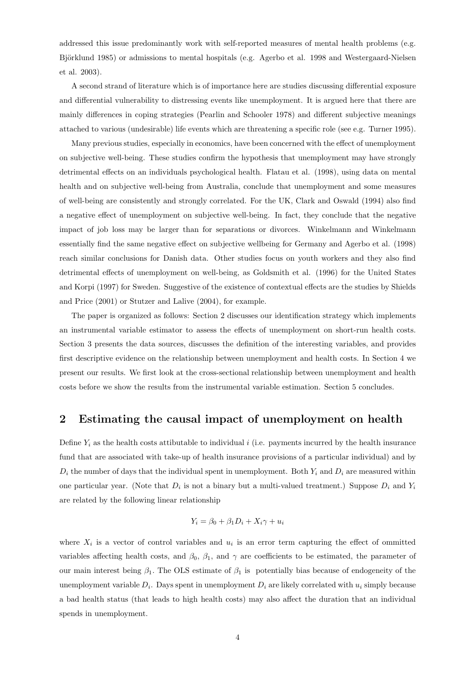addressed this issue predominantly work with self-reported measures of mental health problems (e.g. Björklund 1985) or admissions to mental hospitals (e.g. Agerbo et al. 1998 and Westergaard-Nielsen et al. 2003).

A second strand of literature which is of importance here are studies discussing differential exposure and differential vulnerability to distressing events like unemployment. It is argued here that there are mainly differences in coping strategies (Pearlin and Schooler 1978) and different subjective meanings attached to various (undesirable) life events which are threatening a specific role (see e.g. Turner 1995).

Many previous studies, especially in economics, have been concerned with the effect of unemployment on subjective well-being. These studies confirm the hypothesis that unemployment may have strongly detrimental effects on an individuals psychological health. Flatau et al. (1998), using data on mental health and on subjective well-being from Australia, conclude that unemployment and some measures of well-being are consistently and strongly correlated. For the UK, Clark and Oswald (1994) also find a negative effect of unemployment on subjective well-being. In fact, they conclude that the negative impact of job loss may be larger than for separations or divorces. Winkelmann and Winkelmann essentially find the same negative effect on subjective wellbeing for Germany and Agerbo et al. (1998) reach similar conclusions for Danish data. Other studies focus on youth workers and they also find detrimental effects of unemployment on well-being, as Goldsmith et al. (1996) for the United States and Korpi (1997) for Sweden. Suggestive of the existence of contextual effects are the studies by Shields and Price (2001) or Stutzer and Lalive (2004), for example.

The paper is organized as follows: Section 2 discusses our identification strategy which implements an instrumental variable estimator to assess the effects of unemployment on short-run health costs. Section 3 presents the data sources, discusses the definition of the interesting variables, and provides first descriptive evidence on the relationship between unemployment and health costs. In Section 4 we present our results. We first look at the cross-sectional relationship between unemployment and health costs before we show the results from the instrumental variable estimation. Section 5 concludes.

## 2 Estimating the causal impact of unemployment on health

Define  $Y_i$  as the health costs attibutable to individual i (i.e. payments incurred by the health insurance fund that are associated with take-up of health insurance provisions of a particular individual) and by  $D_i$  the number of days that the individual spent in unemployment. Both  $Y_i$  and  $D_i$  are measured within one particular year. (Note that  $D_i$  is not a binary but a multi-valued treatment.) Suppose  $D_i$  and  $Y_i$ are related by the following linear relationship

$$
Y_i = \beta_0 + \beta_1 D_i + X_i \gamma + u_i
$$

where  $X_i$  is a vector of control variables and  $u_i$  is an error term capturing the effect of ommitted variables affecting health costs, and  $\beta_0$ ,  $\beta_1$ , and  $\gamma$  are coefficients to be estimated, the parameter of our main interest being  $\beta_1$ . The OLS estimate of  $\beta_1$  is potentially bias because of endogeneity of the unemployment variable  $D_i$ . Days spent in unemployment  $D_i$  are likely correlated with  $u_i$  simply because a bad health status (that leads to high health costs) may also affect the duration that an individual spends in unemployment.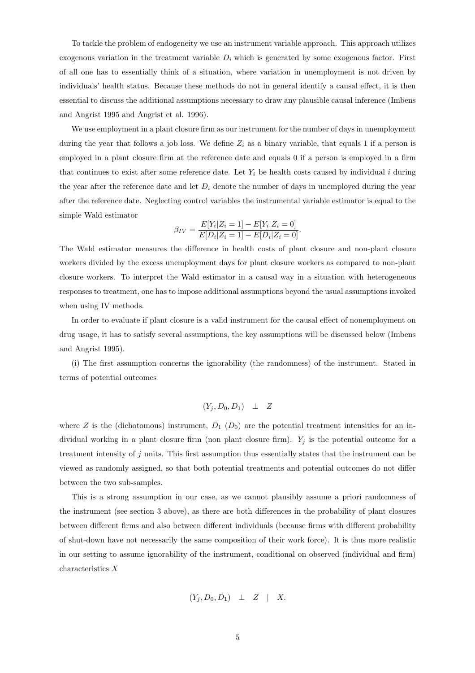To tackle the problem of endogeneity we use an instrument variable approach. This approach utilizes exogenous variation in the treatment variable  $D_i$  which is generated by some exogenous factor. First of all one has to essentially think of a situation, where variation in unemployment is not driven by individuals' health status. Because these methods do not in general identify a causal effect, it is then essential to discuss the additional assumptions necessary to draw any plausible causal inference (Imbens and Angrist 1995 and Angrist et al. 1996).

We use employment in a plant closure firm as our instrument for the number of days in unemployment during the year that follows a job loss. We define  $Z_i$  as a binary variable, that equals 1 if a person is employed in a plant closure firm at the reference date and equals 0 if a person is employed in a firm that continues to exist after some reference date. Let  $Y_i$  be health costs caused by individual i during the year after the reference date and let  $D_i$  denote the number of days in unemployed during the year after the reference date. Neglecting control variables the instrumental variable estimator is equal to the simple Wald estimator

$$
\beta_{IV} = \frac{E[Y_i|Z_i = 1] - E[Y_i|Z_i = 0]}{E[D_i|Z_i = 1] - E[D_i|Z_i = 0]}.
$$

The Wald estimator measures the difference in health costs of plant closure and non-plant closure workers divided by the excess unemployment days for plant closure workers as compared to non-plant closure workers. To interpret the Wald estimator in a causal way in a situation with heterogeneous responses to treatment, one has to impose additional assumptions beyond the usual assumptions invoked when using IV methods.

In order to evaluate if plant closure is a valid instrument for the causal effect of nonemployment on drug usage, it has to satisfy several assumptions, the key assumptions will be discussed below (Imbens and Angrist 1995).

(i) The first assumption concerns the ignorability (the randomness) of the instrument. Stated in terms of potential outcomes

$$
(Y_j, D_0, D_1) \perp Z
$$

where Z is the (dichotomous) instrument,  $D_1$  ( $D_0$ ) are the potential treatment intensities for an individual working in a plant closure firm (non plant closure firm).  $Y_j$  is the potential outcome for a treatment intensity of j units. This first assumption thus essentially states that the instrument can be viewed as randomly assigned, so that both potential treatments and potential outcomes do not differ between the two sub-samples.

This is a strong assumption in our case, as we cannot plausibly assume a priori randomness of the instrument (see section 3 above), as there are both differences in the probability of plant closures between different firms and also between different individuals (because firms with different probability of shut-down have not necessarily the same composition of their work force). It is thus more realistic in our setting to assume ignorability of the instrument, conditional on observed (individual and firm) characteristics X

$$
(Y_j, D_0, D_1) \perp Z \mid X.
$$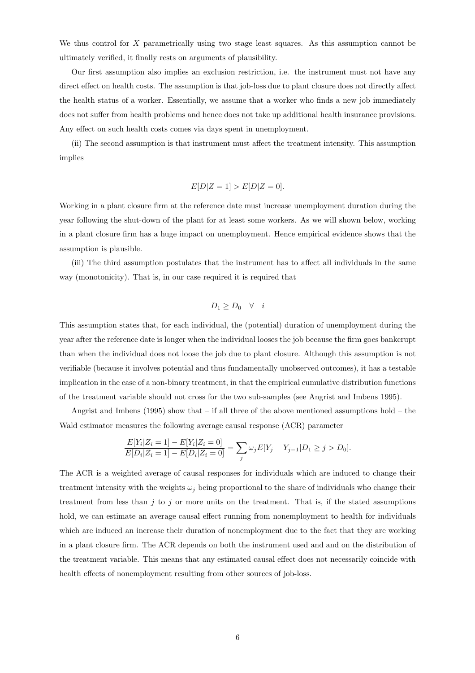We thus control for  $X$  parametrically using two stage least squares. As this assumption cannot be ultimately verified, it finally rests on arguments of plausibility.

Our first assumption also implies an exclusion restriction, i.e. the instrument must not have any direct effect on health costs. The assumption is that job-loss due to plant closure does not directly affect the health status of a worker. Essentially, we assume that a worker who finds a new job immediately does not suffer from health problems and hence does not take up additional health insurance provisions. Any effect on such health costs comes via days spent in unemployment.

(ii) The second assumption is that instrument must affect the treatment intensity. This assumption implies

$$
E[D|Z=1] > E[D|Z=0].
$$

Working in a plant closure firm at the reference date must increase unemployment duration during the year following the shut-down of the plant for at least some workers. As we will shown below, working in a plant closure firm has a huge impact on unemployment. Hence empirical evidence shows that the assumption is plausible.

(iii) The third assumption postulates that the instrument has to affect all individuals in the same way (monotonicity). That is, in our case required it is required that

$$
D_1 \ge D_0 \quad \forall \quad i
$$

This assumption states that, for each individual, the (potential) duration of unemployment during the year after the reference date is longer when the individual looses the job because the firm goes bankcrupt than when the individual does not loose the job due to plant closure. Although this assumption is not verifiable (because it involves potential and thus fundamentally unobserved outcomes), it has a testable implication in the case of a non-binary treatment, in that the empirical cumulative distribution functions of the treatment variable should not cross for the two sub-samples (see Angrist and Imbens 1995).

Angrist and Imbens (1995) show that – if all three of the above mentioned assumptions hold – the Wald estimator measures the following average causal response (ACR) parameter

$$
\frac{E[Y_i|Z_i=1]-E[Y_i|Z_i=0]}{E[D_i|Z_i=1]-E[D_i|Z_i=0]} = \sum_j \omega_j E[Y_j-Y_{j-1}|D_1 \ge j > D_0].
$$

The ACR is a weighted average of causal responses for individuals which are induced to change their treatment intensity with the weights  $\omega_j$  being proportional to the share of individuals who change their treatment from less than  $j$  to  $j$  or more units on the treatment. That is, if the stated assumptions hold, we can estimate an average causal effect running from nonemployment to health for individuals which are induced an increase their duration of nonemployment due to the fact that they are working in a plant closure firm. The ACR depends on both the instrument used and and on the distribution of the treatment variable. This means that any estimated causal effect does not necessarily coincide with health effects of nonemployment resulting from other sources of job-loss.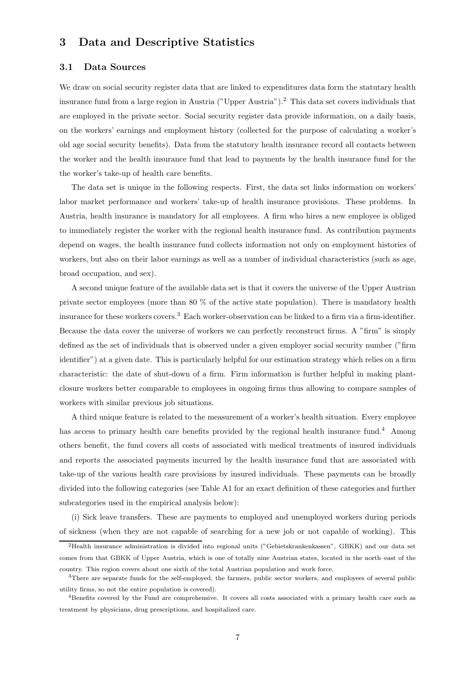## 3 Data and Descriptive Statistics

#### 3.1 Data Sources

We draw on social security register data that are linked to expenditures data form the statutary health insurance fund from a large region in Austria ("Upper Austria").<sup>2</sup> This data set covers individuals that are employed in the private sector. Social security register data provide information, on a daily basis, on the workers' earnings and employment history (collected for the purpose of calculating a worker's old age social security benefits). Data from the statutory health insurance record all contacts between the worker and the health insurance fund that lead to payments by the health insurance fund for the the worker's take-up of health care benefits.

The data set is unique in the following respects. First, the data set links information on workers' labor market performance and workers' take-up of health insurance provisions. These problems. In Austria, health insurance is mandatory for all employees. A firm who hires a new employee is obliged to immediately register the worker with the regional health insurance fund. As contribution payments depend on wages, the health insurance fund collects information not only on employment histories of workers, but also on their labor earnings as well as a number of individual characteristics (such as age, broad occupation, and sex).

A second unique feature of the available data set is that it covers the universe of the Upper Austrian private sector employees (more than 80 % of the active state population). There is mandatory health insurance for these workers covers.<sup>3</sup> Each worker-observation can be linked to a firm via a firm-identifier. Because the data cover the universe of workers we can perfectly reconstruct firms. A "firm" is simply defined as the set of individuals that is observed under a given employer social security number ("firm identifier") at a given date. This is particularly helpful for our estimation strategy which relies on a firm characteristic: the date of shut-down of a firm. Firm information is further helpful in making plantclosure workers better comparable to employees in ongoing firms thus allowing to compare samples of workers with similar previous job situations.

A third unique feature is related to the measurement of a worker's health situation. Every employee has access to primary health care benefits provided by the regional health insurance fund.<sup>4</sup> Among others benefit, the fund covers all costs of associated with medical treatments of insured individuals and reports the associated payments incurred by the health insurance fund that are associated with take-up of the various health care provisions by insured individuals. These payments can be broadly divided into the following categories (see Table A1 for an exact definition of these categories and further subcategories used in the empirical analysis below):

(i) Sick leave transfers. These are payments to employed and unemployed workers during periods of sickness (when they are not capable of searching for a new job or not capable of working). This

<sup>2</sup>Health insurance administration is divided into regional units ("Gebietskrankenkassen", GBKK) and our data set comes from that GBKK of Upper Austria, which is one of totally nine Austrian states, located in the north–east of the country. This region covers about one sixth of the total Austrian population and work force.

<sup>3</sup>There are separate funds for the self-employed, the farmers, public sector workers, and employees of several public utility firms, so not the entire population is covered).

<sup>4</sup>Benefits covered by the Fund are comprehensive. It covers all costs associated with a primary health care such as treatment by physicians, drug prescriptions, and hospitalized care.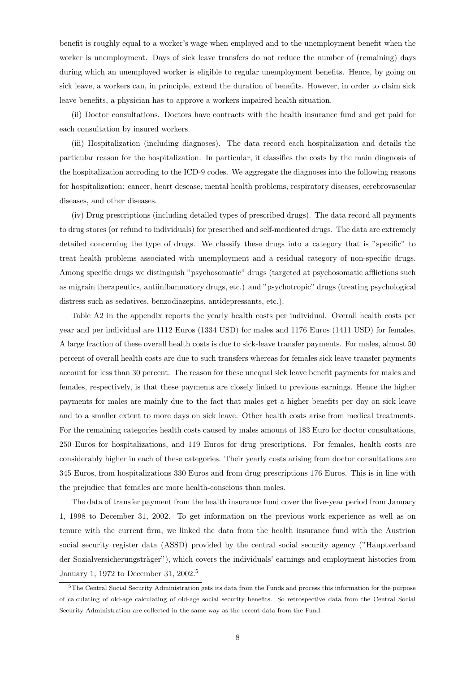benefit is roughly equal to a worker's wage when employed and to the unemployment benefit when the worker is unemployment. Days of sick leave transfers do not reduce the number of (remaining) days during which an unemployed worker is eligible to regular unemployment benefits. Hence, by going on sick leave, a workers can, in principle, extend the duration of benefits. However, in order to claim sick leave benefits, a physician has to approve a workers impaired health situation.

(ii) Doctor consultations. Doctors have contracts with the health insurance fund and get paid for each consultation by insured workers.

(iii) Hospitalization (including diagnoses). The data record each hospitalization and details the particular reason for the hospitalization. In particular, it classifies the costs by the main diagnosis of the hospitalization accroding to the ICD-9 codes. We aggregate the diagnoses into the following reasons for hospitalization: cancer, heart desease, mental health problems, respiratory diseases, cerebrovascular diseases, and other diseases.

(iv) Drug prescriptions (including detailed types of prescribed drugs). The data record all payments to drug stores (or refund to individuals) for prescribed and self-medicated drugs. The data are extremely detailed concerning the type of drugs. We classify these drugs into a category that is "specific" to treat health problems associated with unemployment and a residual category of non-specific drugs. Among specific drugs we distinguish "psychosomatic" drugs (targeted at psychosomatic afflictions such as migrain therapeutics, antiinflammatory drugs, etc.) and "psychotropic" drugs (treating psychological distress such as sedatives, benzodiazepins, antidepressants, etc.).

Table A2 in the appendix reports the yearly health costs per individual. Overall health costs per year and per individual are 1112 Euros (1334 USD) for males and 1176 Euros (1411 USD) for females. A large fraction of these overall health costs is due to sick-leave transfer payments. For males, almost 50 percent of overall health costs are due to such transfers whereas for females sick leave transfer payments account for less than 30 percent. The reason for these unequal sick leave benefit payments for males and females, respectively, is that these payments are closely linked to previous earnings. Hence the higher payments for males are mainly due to the fact that males get a higher benefits per day on sick leave and to a smaller extent to more days on sick leave. Other health costs arise from medical treatments. For the remaining categories health costs caused by males amount of 183 Euro for doctor consultations, 250 Euros for hospitalizations, and 119 Euros for drug prescriptions. For females, health costs are considerably higher in each of these categories. Their yearly costs arising from doctor consultations are 345 Euros, from hospitalizations 330 Euros and from drug prescriptions 176 Euros. This is in line with the prejudice that females are more health-conscious than males.

The data of transfer payment from the health insurance fund cover the five-year period from January 1, 1998 to December 31, 2002. To get information on the previous work experience as well as on tenure with the current firm, we linked the data from the health insurance fund with the Austrian social security register data (ASSD) provided by the central social security agency ("Hauptverband der Sozialversicherungsträger"), which covers the individuals' earnings and employment histories from January 1, 1972 to December 31, 2002.<sup>5</sup>

<sup>&</sup>lt;sup>5</sup>The Central Social Security Administration gets its data from the Funds and process this information for the purpose of calculating of old-age calculating of old-age social security benefits. So retrospective data from the Central Social Security Administration are collected in the same way as the recent data from the Fund.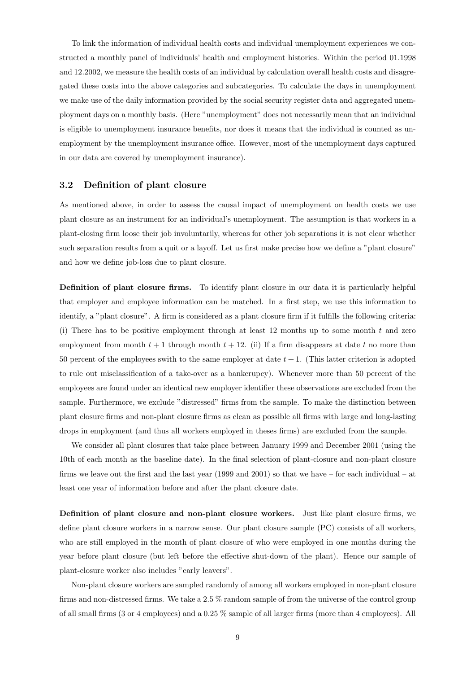To link the information of individual health costs and individual unemployment experiences we constructed a monthly panel of individuals' health and employment histories. Within the period 01.1998 and 12.2002, we measure the health costs of an individual by calculation overall health costs and disagregated these costs into the above categories and subcategories. To calculate the days in unemployment we make use of the daily information provided by the social security register data and aggregated unemployment days on a monthly basis. (Here "unemployment" does not necessarily mean that an individual is eligible to unemployment insurance benefits, nor does it means that the individual is counted as unemployment by the unemployment insurance office. However, most of the unemployment days captured in our data are covered by unemployment insurance).

#### 3.2 Definition of plant closure

As mentioned above, in order to assess the causal impact of unemployment on health costs we use plant closure as an instrument for an individual's unemployment. The assumption is that workers in a plant-closing firm loose their job involuntarily, whereas for other job separations it is not clear whether such separation results from a quit or a layoff. Let us first make precise how we define a "plant closure" and how we define job-loss due to plant closure.

Definition of plant closure firms. To identify plant closure in our data it is particularly helpful that employer and employee information can be matched. In a first step, we use this information to identify, a "plant closure". A firm is considered as a plant closure firm if it fulfills the following criteria: (i) There has to be positive employment through at least 12 months up to some month  $t$  and zero employment from month  $t + 1$  through month  $t + 12$ . (ii) If a firm disappears at date t no more than 50 percent of the employees swith to the same employer at date  $t + 1$ . (This latter criterion is adopted to rule out misclassification of a take-over as a bankcrupcy). Whenever more than 50 percent of the employees are found under an identical new employer identifier these observations are excluded from the sample. Furthermore, we exclude "distressed" firms from the sample. To make the distinction between plant closure firms and non-plant closure firms as clean as possible all firms with large and long-lasting drops in employment (and thus all workers employed in theses firms) are excluded from the sample.

We consider all plant closures that take place between January 1999 and December 2001 (using the 10th of each month as the baseline date). In the final selection of plant-closure and non-plant closure firms we leave out the first and the last year (1999 and 2001) so that we have – for each individual – at least one year of information before and after the plant closure date.

Definition of plant closure and non-plant closure workers. Just like plant closure firms, we define plant closure workers in a narrow sense. Our plant closure sample (PC) consists of all workers, who are still employed in the month of plant closure of who were employed in one months during the year before plant closure (but left before the effective shut-down of the plant). Hence our sample of plant-closure worker also includes "early leavers".

Non-plant closure workers are sampled randomly of among all workers employed in non-plant closure firms and non-distressed firms. We take a 2.5 % random sample of from the universe of the control group of all small firms (3 or 4 employees) and a 0.25 % sample of all larger firms (more than 4 employees). All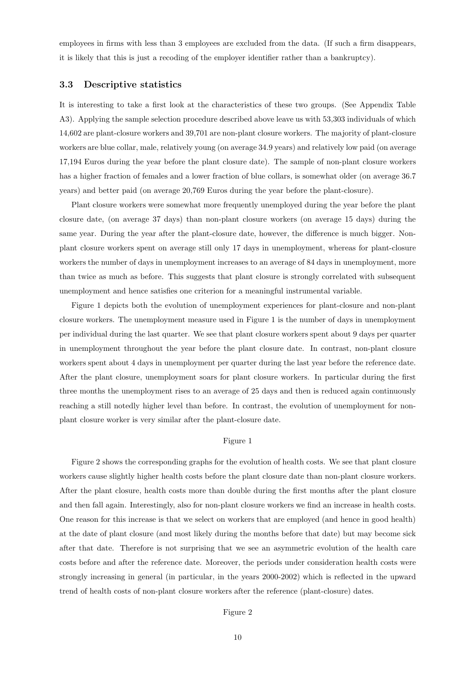employees in firms with less than 3 employees are excluded from the data. (If such a firm disappears, it is likely that this is just a recoding of the employer identifier rather than a bankruptcy).

#### 3.3 Descriptive statistics

It is interesting to take a first look at the characteristics of these two groups. (See Appendix Table A3). Applying the sample selection procedure described above leave us with 53,303 individuals of which 14,602 are plant-closure workers and 39,701 are non-plant closure workers. The majority of plant-closure workers are blue collar, male, relatively young (on average 34.9 years) and relatively low paid (on average 17,194 Euros during the year before the plant closure date). The sample of non-plant closure workers has a higher fraction of females and a lower fraction of blue collars, is somewhat older (on average 36.7 years) and better paid (on average 20,769 Euros during the year before the plant-closure).

Plant closure workers were somewhat more frequently unemployed during the year before the plant closure date, (on average 37 days) than non-plant closure workers (on average 15 days) during the same year. During the year after the plant-closure date, however, the difference is much bigger. Nonplant closure workers spent on average still only 17 days in unemployment, whereas for plant-closure workers the number of days in unemployment increases to an average of 84 days in unemployment, more than twice as much as before. This suggests that plant closure is strongly correlated with subsequent unemployment and hence satisfies one criterion for a meaningful instrumental variable.

Figure 1 depicts both the evolution of unemployment experiences for plant-closure and non-plant closure workers. The unemployment measure used in Figure 1 is the number of days in unemployment per individual during the last quarter. We see that plant closure workers spent about 9 days per quarter in unemployment throughout the year before the plant closure date. In contrast, non-plant closure workers spent about 4 days in unemployment per quarter during the last year before the reference date. After the plant closure, unemployment soars for plant closure workers. In particular during the first three months the unemployment rises to an average of 25 days and then is reduced again continuously reaching a still notedly higher level than before. In contrast, the evolution of unemployment for nonplant closure worker is very similar after the plant-closure date.

#### Figure 1

Figure 2 shows the corresponding graphs for the evolution of health costs. We see that plant closure workers cause slightly higher health costs before the plant closure date than non-plant closure workers. After the plant closure, health costs more than double during the first months after the plant closure and then fall again. Interestingly, also for non-plant closure workers we find an increase in health costs. One reason for this increase is that we select on workers that are employed (and hence in good health) at the date of plant closure (and most likely during the months before that date) but may become sick after that date. Therefore is not surprising that we see an asymmetric evolution of the health care costs before and after the reference date. Moreover, the periods under consideration health costs were strongly increasing in general (in particular, in the years 2000-2002) which is reflected in the upward trend of health costs of non-plant closure workers after the reference (plant-closure) dates.

#### Figure 2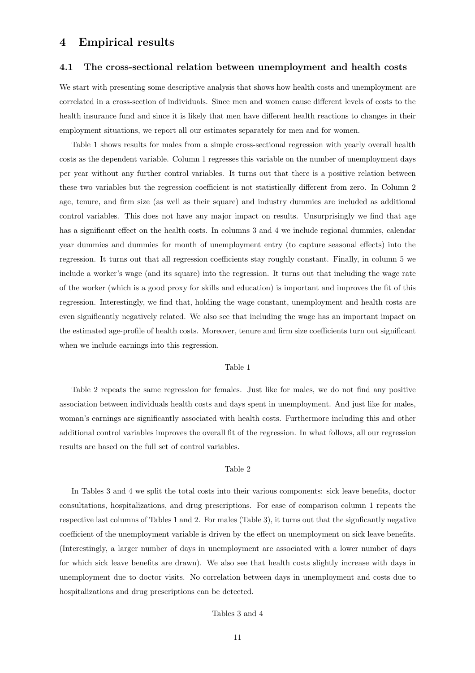### 4 Empirical results

#### 4.1 The cross-sectional relation between unemployment and health costs

We start with presenting some descriptive analysis that shows how health costs and unemployment are correlated in a cross-section of individuals. Since men and women cause different levels of costs to the health insurance fund and since it is likely that men have different health reactions to changes in their employment situations, we report all our estimates separately for men and for women.

Table 1 shows results for males from a simple cross-sectional regression with yearly overall health costs as the dependent variable. Column 1 regresses this variable on the number of unemployment days per year without any further control variables. It turns out that there is a positive relation between these two variables but the regression coefficient is not statistically different from zero. In Column 2 age, tenure, and firm size (as well as their square) and industry dummies are included as additional control variables. This does not have any major impact on results. Unsurprisingly we find that age has a significant effect on the health costs. In columns 3 and 4 we include regional dummies, calendar year dummies and dummies for month of unemployment entry (to capture seasonal effects) into the regression. It turns out that all regression coefficients stay roughly constant. Finally, in column 5 we include a worker's wage (and its square) into the regression. It turns out that including the wage rate of the worker (which is a good proxy for skills and education) is important and improves the fit of this regression. Interestingly, we find that, holding the wage constant, unemployment and health costs are even significantly negatively related. We also see that including the wage has an important impact on the estimated age-profile of health costs. Moreover, tenure and firm size coefficients turn out significant when we include earnings into this regression.

#### Table 1

Table 2 repeats the same regression for females. Just like for males, we do not find any positive association between individuals health costs and days spent in unemployment. And just like for males, woman's earnings are significantly associated with health costs. Furthermore including this and other additional control variables improves the overall fit of the regression. In what follows, all our regression results are based on the full set of control variables.

#### Table 2

In Tables 3 and 4 we split the total costs into their various components: sick leave benefits, doctor consultations, hospitalizations, and drug prescriptions. For ease of comparison column 1 repeats the respective last columns of Tables 1 and 2. For males (Table 3), it turns out that the signficantly negative coefficient of the unemployment variable is driven by the effect on unemployment on sick leave benefits. (Interestingly, a larger number of days in unemployment are associated with a lower number of days for which sick leave benefits are drawn). We also see that health costs slightly increase with days in unemployment due to doctor visits. No correlation between days in unemployment and costs due to hospitalizations and drug prescriptions can be detected.

#### Tables 3 and 4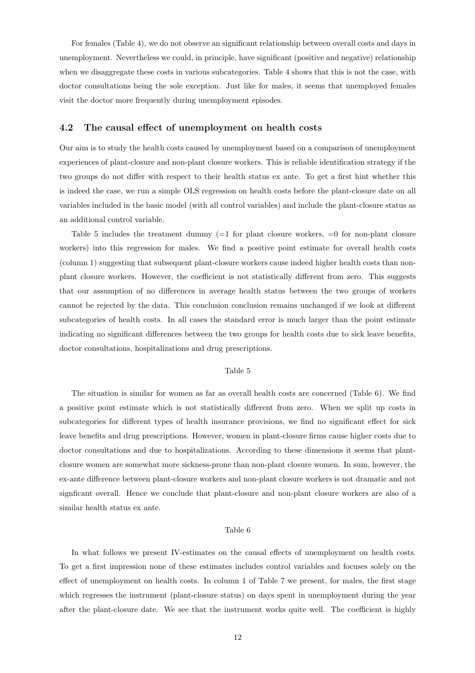For females (Table 4), we do not observe an significant relationship between overall costs and days in unemployment. Nevertheless we could, in principle, have significant (positive and negative) relationship when we disaggregate these costs in various subcategories. Table 4 shows that this is not the case, with doctor consultations being the sole exception. Just like for males, it seems that unemployed females visit the doctor more frequently during unemployment episodes.

#### 4.2 The causal effect of unemployment on health costs

Our aim is to study the health costs caused by unemployment based on a comparison of unemployment experiences of plant-closure and non-plant closure workers. This is reliable identification strategy if the two groups do not differ with respect to their health status ex ante. To get a first hint whether this is indeed the case, we run a simple OLS regression on health costs before the plant-closure date on all variables included in the basic model (with all control variables) and include the plant-closure status as an additional control variable.

Table 5 includes the treatment dummy  $(=1$  for plant closure workers,  $=0$  for non-plant closure workers) into this regression for males. We find a positive point estimate for overall health costs (column 1) suggesting that subsequent plant-closure workers cause indeed higher health costs than nonplant closure workers. However, the coefficient is not statistically different from zero. This suggests that our assumption of no differences in average health status between the two groups of workers cannot be rejected by the data. This conclusion conclusion remains unchanged if we look at different subcategories of health costs. In all cases the standard error is much larger than the point estimate indicating no significant differences between the two groups for health costs due to sick leave benefits, doctor consultations, hospitalizations and drug prescriptions.

#### Table 5

The situation is similar for women as far as overall health costs are concerned (Table 6). We find a positive point estimate which is not statistically different from zero. When we split up costs in subcategories for different types of health insurance provisions, we find no significant effect for sick leave benefits and drug prescriptions. However, women in plant-closure firms cause higher costs due to doctor consultations and due to hospitalizations. According to these dimensions it seems that plantclosure women are somewhat more sickness-prone than non-plant closure women. In sum, however, the ex-ante difference between plant-closure workers and non-plant closure workers is not dramatic and not signficant overall. Hence we conclude that plant-closure and non-plant closure workers are also of a similar health status ex ante.

#### Table 6

In what follows we present IV-estimates on the causal effects of unemployment on health costs. To get a first impression none of these estimates includes control variables and focuses solely on the effect of unemployment on health costs. In column 1 of Table 7 we present, for males, the first stage which regresses the instrument (plant-closure status) on days spent in unemployment during the year after the plant-closure date. We see that the instrument works quite well. The coefficient is highly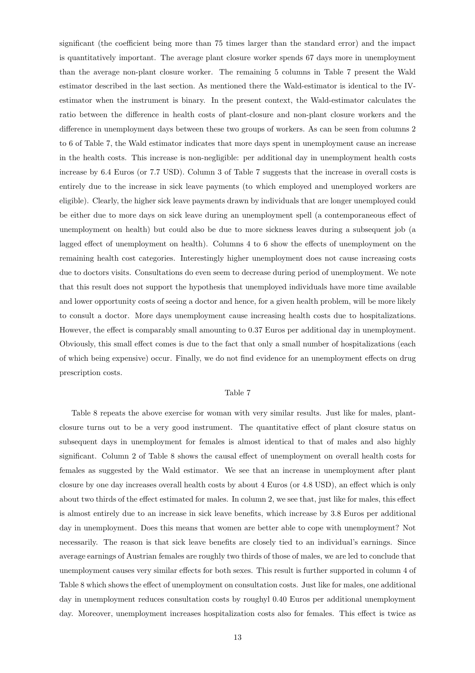significant (the coefficient being more than 75 times larger than the standard error) and the impact is quantitatively important. The average plant closure worker spends 67 days more in unemployment than the average non-plant closure worker. The remaining 5 columns in Table 7 present the Wald estimator described in the last section. As mentioned there the Wald-estimator is identical to the IVestimator when the instrument is binary. In the present context, the Wald-estimator calculates the ratio between the difference in health costs of plant-closure and non-plant closure workers and the difference in unemployment days between these two groups of workers. As can be seen from columns 2 to 6 of Table 7, the Wald estimator indicates that more days spent in unemployment cause an increase in the health costs. This increase is non-negligible: per additional day in unemployment health costs increase by 6.4 Euros (or 7.7 USD). Column 3 of Table 7 suggests that the increase in overall costs is entirely due to the increase in sick leave payments (to which employed and unemployed workers are eligible). Clearly, the higher sick leave payments drawn by individuals that are longer unemployed could be either due to more days on sick leave during an unemployment spell (a contemporaneous effect of unemployment on health) but could also be due to more sickness leaves during a subsequent job (a lagged effect of unemployment on health). Columns 4 to 6 show the effects of unemployment on the remaining health cost categories. Interestingly higher unemployment does not cause increasing costs due to doctors visits. Consultations do even seem to decrease during period of unemployment. We note that this result does not support the hypothesis that unemployed individuals have more time available and lower opportunity costs of seeing a doctor and hence, for a given health problem, will be more likely to consult a doctor. More days unemployment cause increasing health costs due to hospitalizations. However, the effect is comparably small amounting to 0.37 Euros per additional day in unemployment. Obviously, this small effect comes is due to the fact that only a small number of hospitalizations (each of which being expensive) occur. Finally, we do not find evidence for an unemployment effects on drug prescription costs.

#### Table 7

Table 8 repeats the above exercise for woman with very similar results. Just like for males, plantclosure turns out to be a very good instrument. The quantitative effect of plant closure status on subsequent days in unemployment for females is almost identical to that of males and also highly significant. Column 2 of Table 8 shows the causal effect of unemployment on overall health costs for females as suggested by the Wald estimator. We see that an increase in unemployment after plant closure by one day increases overall health costs by about 4 Euros (or 4.8 USD), an effect which is only about two thirds of the effect estimated for males. In column 2, we see that, just like for males, this effect is almost entirely due to an increase in sick leave benefits, which increase by 3.8 Euros per additional day in unemployment. Does this means that women are better able to cope with unemployment? Not necessarily. The reason is that sick leave benefits are closely tied to an individual's earnings. Since average earnings of Austrian females are roughly two thirds of those of males, we are led to conclude that unemployment causes very similar effects for both sexes. This result is further supported in column 4 of Table 8 which shows the effect of unemployment on consultation costs. Just like for males, one additional day in unemployment reduces consultation costs by roughyl 0.40 Euros per additional unemployment day. Moreover, unemployment increases hospitalization costs also for females. This effect is twice as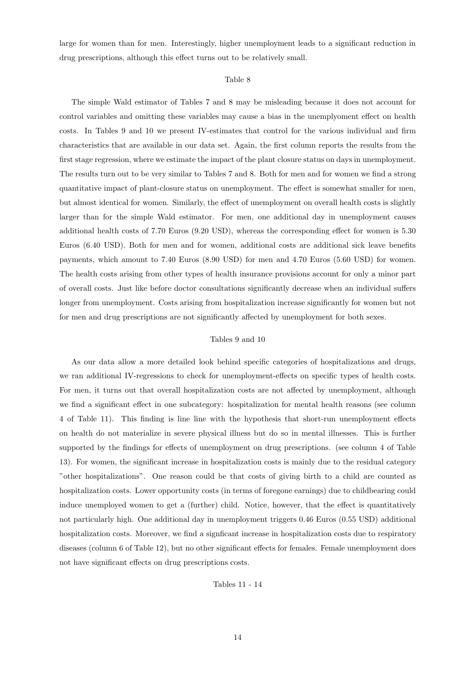large for women than for men. Interestingly, higher unemployment leads to a significant reduction in drug prescriptions, although this effect turns out to be relatively small.

#### Table 8

The simple Wald estimator of Tables 7 and 8 may be misleading because it does not account for control variables and omitting these variables may cause a bias in the unemplyoment effect on health costs. In Tables 9 and 10 we present IV-estimates that control for the various individual and firm characteristics that are available in our data set. Again, the first column reports the results from the first stage regression, where we estimate the impact of the plant closure status on days in unemployment. The results turn out to be very similar to Tables 7 and 8. Both for men and for women we find a strong quantitative impact of plant-closure status on unemployment. The effect is somewhat smaller for men, but almost identical for women. Similarly, the effect of unemployment on overall health costs is slightly larger than for the simple Wald estimator. For men, one additional day in unemployment causes additional health costs of 7.70 Euros (9.20 USD), whereas the corresponding effect for women is 5.30 Euros (6.40 USD). Both for men and for women, additional costs are additional sick leave benefits payments, which amount to 7.40 Euros (8.90 USD) for men and 4.70 Euros (5.60 USD) for women. The health costs arising from other types of health insurance provisions account for only a minor part of overall costs. Just like before doctor consultations significantly decrease when an individual suffers longer from unemployment. Costs arising from hospitalization increase significantly for women but not for men and drug prescriptions are not significantly affected by unemployment for both sexes.

#### Tables 9 and 10

As our data allow a more detailed look behind specific categories of hospitalizations and drugs, we ran additional IV-regressions to check for unemployment-effects on specific types of health costs. For men, it turns out that overall hospitalization costs are not affected by unemployment, although we find a significant effect in one subcategory: hospitalization for mental health reasons (see column 4 of Table 11). This finding is line line with the hypothesis that short-run unemployment effects on health do not materialize in severe physical illness but do so in mental illnesses. This is further supported by the findings for effects of unemployment on drug prescriptions. (see column 4 of Table 13). For women, the significant increase in hospitalization costs is mainly due to the residual category "other hospitalizations". One reason could be that costs of giving birth to a child are counted as hospitalization costs. Lower opportunity costs (in terms of foregone earnings) due to childbearing could induce unemployed women to get a (further) child. Notice, however, that the effect is quantitatively not particularly high. One additional day in unemployment triggers 0.46 Euros (0.55 USD) additional hospitalization costs. Moreover, we find a signficant increase in hospitalization costs due to respiratory diseases (column 6 of Table 12), but no other significant effects for females. Female unemployment does not have significant effects on drug prescriptions costs.

Tables 11 - 14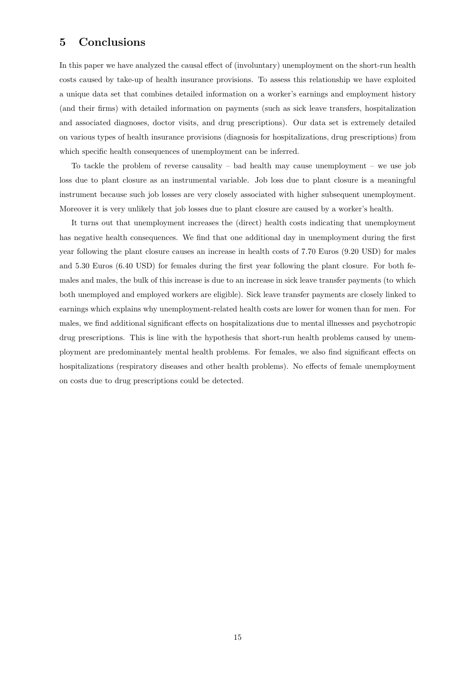## 5 Conclusions

In this paper we have analyzed the causal effect of (involuntary) unemployment on the short-run health costs caused by take-up of health insurance provisions. To assess this relationship we have exploited a unique data set that combines detailed information on a worker's earnings and employment history (and their firms) with detailed information on payments (such as sick leave transfers, hospitalization and associated diagnoses, doctor visits, and drug prescriptions). Our data set is extremely detailed on various types of health insurance provisions (diagnosis for hospitalizations, drug prescriptions) from which specific health consequences of unemployment can be inferred.

To tackle the problem of reverse causality – bad health may cause unemployment – we use job loss due to plant closure as an instrumental variable. Job loss due to plant closure is a meaningful instrument because such job losses are very closely associated with higher subsequent unemployment. Moreover it is very unlikely that job losses due to plant closure are caused by a worker's health.

It turns out that unemployment increases the (direct) health costs indicating that unemployment has negative health consequences. We find that one additional day in unemployment during the first year following the plant closure causes an increase in health costs of 7.70 Euros (9.20 USD) for males and 5.30 Euros (6.40 USD) for females during the first year following the plant closure. For both females and males, the bulk of this increase is due to an increase in sick leave transfer payments (to which both unemployed and employed workers are eligible). Sick leave transfer payments are closely linked to earnings which explains why unemployment-related health costs are lower for women than for men. For males, we find additional significant effects on hospitalizations due to mental illnesses and psychotropic drug prescriptions. This is line with the hypothesis that short-run health problems caused by unemployment are predominantely mental health problems. For females, we also find significant effects on hospitalizations (respiratory diseases and other health problems). No effects of female unemployment on costs due to drug prescriptions could be detected.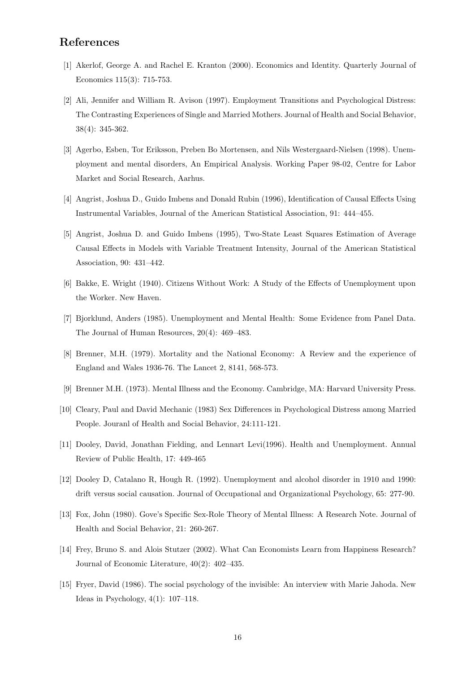## References

- [1] Akerlof, George A. and Rachel E. Kranton (2000). Economics and Identity. Quarterly Journal of Economics 115(3): 715-753.
- [2] Ali, Jennifer and William R. Avison (1997). Employment Transitions and Psychological Distress: The Contrasting Experiences of Single and Married Mothers. Journal of Health and Social Behavior, 38(4): 345-362.
- [3] Agerbo, Esben, Tor Eriksson, Preben Bo Mortensen, and Nils Westergaard-Nielsen (1998). Unemployment and mental disorders, An Empirical Analysis. Working Paper 98-02, Centre for Labor Market and Social Research, Aarhus.
- [4] Angrist, Joshua D., Guido Imbens and Donald Rubin (1996), Identification of Causal Effects Using Instrumental Variables, Journal of the American Statistical Association, 91: 444–455.
- [5] Angrist, Joshua D. and Guido Imbens (1995), Two-State Least Squares Estimation of Average Causal Effects in Models with Variable Treatment Intensity, Journal of the American Statistical Association, 90: 431–442.
- [6] Bakke, E. Wright (1940). Citizens Without Work: A Study of the Effects of Unemployment upon the Worker. New Haven.
- [7] Bjorklund, Anders (1985). Unemployment and Mental Health: Some Evidence from Panel Data. The Journal of Human Resources, 20(4): 469–483.
- [8] Brenner, M.H. (1979). Mortality and the National Economy: A Review and the experience of England and Wales 1936-76. The Lancet 2, 8141, 568-573.
- [9] Brenner M.H. (1973). Mental Illness and the Economy. Cambridge, MA: Harvard University Press.
- [10] Cleary, Paul and David Mechanic (1983) Sex Differences in Psychological Distress among Married People. Jouranl of Health and Social Behavior, 24:111-121.
- [11] Dooley, David, Jonathan Fielding, and Lennart Levi(1996). Health and Unemployment. Annual Review of Public Health, 17: 449-465
- [12] Dooley D, Catalano R, Hough R. (1992). Unemployment and alcohol disorder in 1910 and 1990: drift versus social causation. Journal of Occupational and Organizational Psychology, 65: 277-90.
- [13] Fox, John (1980). Gove's Specific Sex-Role Theory of Mental Illness: A Research Note. Journal of Health and Social Behavior, 21: 260-267.
- [14] Frey, Bruno S. and Alois Stutzer (2002). What Can Economists Learn from Happiness Research? Journal of Economic Literature, 40(2): 402–435.
- [15] Fryer, David (1986). The social psychology of the invisible: An interview with Marie Jahoda. New Ideas in Psychology, 4(1): 107–118.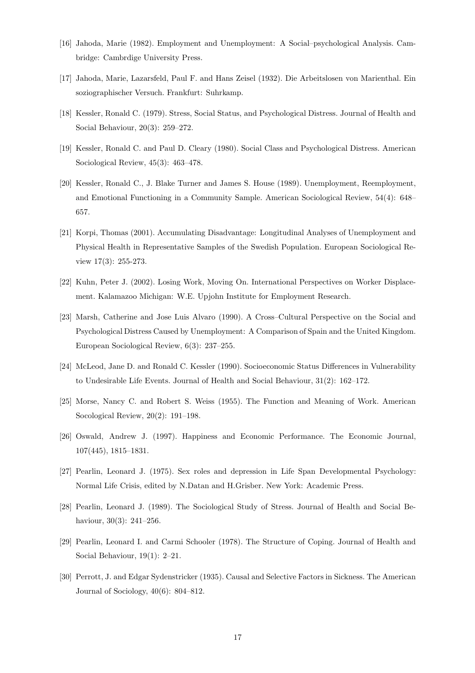- [16] Jahoda, Marie (1982). Employment and Unemployment: A Social–psychological Analysis. Cambridge: Cambrdige University Press.
- [17] Jahoda, Marie, Lazarsfeld, Paul F. and Hans Zeisel (1932). Die Arbeitslosen von Marienthal. Ein soziographischer Versuch. Frankfurt: Suhrkamp.
- [18] Kessler, Ronald C. (1979). Stress, Social Status, and Psychological Distress. Journal of Health and Social Behaviour, 20(3): 259–272.
- [19] Kessler, Ronald C. and Paul D. Cleary (1980). Social Class and Psychological Distress. American Sociological Review, 45(3): 463–478.
- [20] Kessler, Ronald C., J. Blake Turner and James S. House (1989). Unemployment, Reemployment, and Emotional Functioning in a Community Sample. American Sociological Review, 54(4): 648– 657.
- [21] Korpi, Thomas (2001). Accumulating Disadvantage: Longitudinal Analyses of Unemployment and Physical Health in Representative Samples of the Swedish Population. European Sociological Review 17(3): 255-273.
- [22] Kuhn, Peter J. (2002). Losing Work, Moving On. International Perspectives on Worker Displacement. Kalamazoo Michigan: W.E. Upjohn Institute for Employment Research.
- [23] Marsh, Catherine and Jose Luis Alvaro (1990). A Cross–Cultural Perspective on the Social and Psychological Distress Caused by Unemployment: A Comparison of Spain and the United Kingdom. European Sociological Review, 6(3): 237–255.
- [24] McLeod, Jane D. and Ronald C. Kessler (1990). Socioeconomic Status Differences in Vulnerability to Undesirable Life Events. Journal of Health and Social Behaviour, 31(2): 162–172.
- [25] Morse, Nancy C. and Robert S. Weiss (1955). The Function and Meaning of Work. American Socological Review, 20(2): 191–198.
- [26] Oswald, Andrew J. (1997). Happiness and Economic Performance. The Economic Journal, 107(445), 1815–1831.
- [27] Pearlin, Leonard J. (1975). Sex roles and depression in Life Span Developmental Psychology: Normal Life Crisis, edited by N.Datan and H.Grisber. New York: Academic Press.
- [28] Pearlin, Leonard J. (1989). The Sociological Study of Stress. Journal of Health and Social Behaviour, 30(3): 241–256.
- [29] Pearlin, Leonard I. and Carmi Schooler (1978). The Structure of Coping. Journal of Health and Social Behaviour, 19(1): 2–21.
- [30] Perrott, J. and Edgar Sydenstricker (1935). Causal and Selective Factors in Sickness. The American Journal of Sociology, 40(6): 804–812.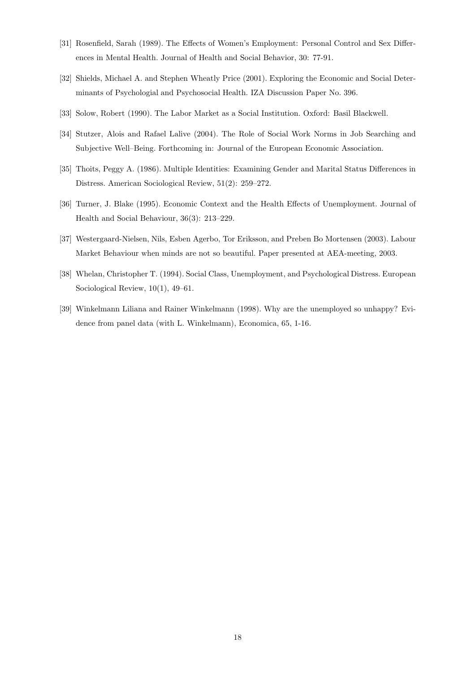- [31] Rosenfield, Sarah (1989). The Effects of Women's Employment: Personal Control and Sex Differences in Mental Health. Journal of Health and Social Behavior, 30: 77-91.
- [32] Shields, Michael A. and Stephen Wheatly Price (2001). Exploring the Economic and Social Determinants of Psychologial and Psychosocial Health. IZA Discussion Paper No. 396.
- [33] Solow, Robert (1990). The Labor Market as a Social Institution. Oxford: Basil Blackwell.
- [34] Stutzer, Alois and Rafael Lalive (2004). The Role of Social Work Norms in Job Searching and Subjective Well–Being. Forthcoming in: Journal of the European Economic Association.
- [35] Thoits, Peggy A. (1986). Multiple Identities: Examining Gender and Marital Status Differences in Distress. American Sociological Review, 51(2): 259–272.
- [36] Turner, J. Blake (1995). Economic Context and the Health Effects of Unemployment. Journal of Health and Social Behaviour, 36(3): 213–229.
- [37] Westergaard-Nielsen, Nils, Esben Agerbo, Tor Eriksson, and Preben Bo Mortensen (2003). Labour Market Behaviour when minds are not so beautiful. Paper presented at AEA-meeting, 2003.
- [38] Whelan, Christopher T. (1994). Social Class, Unemployment, and Psychological Distress. European Sociological Review, 10(1), 49–61.
- [39] Winkelmann Liliana and Rainer Winkelmann (1998). Why are the unemployed so unhappy? Evidence from panel data (with L. Winkelmann), Economica, 65, 1-16.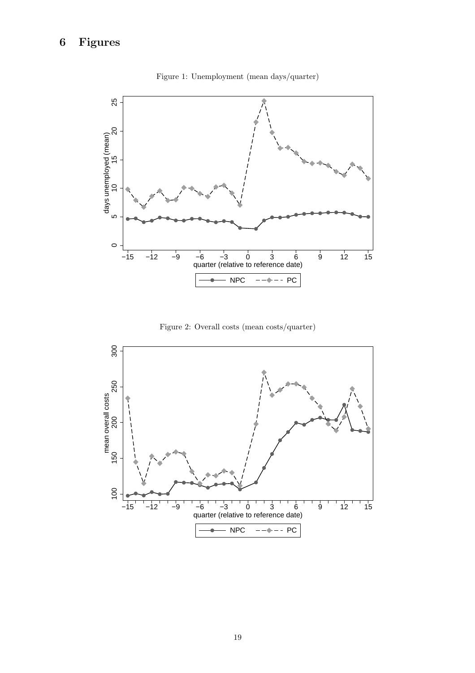

Figure 1: Unemployment (mean days/quarter)



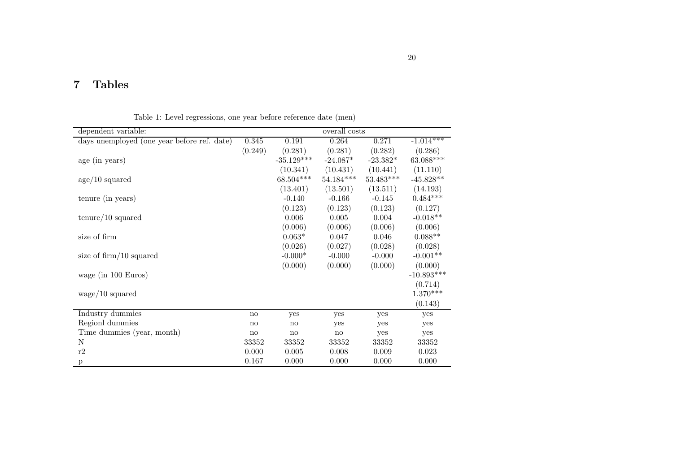## 7 Tables

Table 1: Level regressions, one year before reference date (men)

| dependent variable:                         |         |              | overall costs |             |              |
|---------------------------------------------|---------|--------------|---------------|-------------|--------------|
| days unemployed (one year before ref. date) | 0.345   | 0.191        | 0.264         | 0.271       | $-1.014***$  |
|                                             | (0.249) | (0.281)      | (0.281)       | (0.282)     | (0.286)      |
| age (in years)                              |         | $-35.129***$ | $-24.087*$    | $-23.382*$  | 63.088***    |
|                                             |         | (10.341)     | (10.431)      | (10.441)    | (11.110)     |
| age/10 squared                              |         | 68.504***    | $54.184***$   | $53.483***$ | $-45.828**$  |
|                                             |         | (13.401)     | (13.501)      | (13.511)    | (14.193)     |
| tenure (in years)                           |         | $-0.140$     | $-0.166$      | $-0.145$    | $0.484***$   |
|                                             |         | (0.123)      | (0.123)       | (0.123)     | (0.127)      |
| $\text{tenure}/10$ squared                  |         | 0.006        | 0.005         | 0.004       | $-0.018**$   |
|                                             |         | (0.006)      | (0.006)       | (0.006)     | (0.006)      |
| size of firm                                |         | $0.063*$     | 0.047         | 0.046       | $0.088**$    |
|                                             |         | (0.026)      | (0.027)       | (0.028)     | (0.028)      |
| size of $\dim/10$ squared                   |         | $-0.000*$    | $-0.000$      | $-0.000$    | $-0.001**$   |
|                                             |         | (0.000)      | (0.000)       | (0.000)     | (0.000)      |
| wage (in 100 Euros)                         |         |              |               |             | $-10.893***$ |
|                                             |         |              |               |             | (0.714)      |
| wage/10 squared                             |         |              |               |             | $1.370***$   |
|                                             |         |              |               |             | (0.143)      |
| Industry dummies                            | no      | yes          | yes           | yes         | yes          |
| Regionl dummies                             | no      | no           | yes           | yes         | yes          |
| Time dummies (year, month)                  | no      | no           | no            | yes         | yes          |
| N                                           | 33352   | 33352        | 33352         | 33352       | 33352        |
| $\rm r2$                                    | 0.000   | 0.005        | 0.008         | 0.009       | 0.023        |
| p                                           | 0.167   | 0.000        | 0.000         | 0.000       | 0.000        |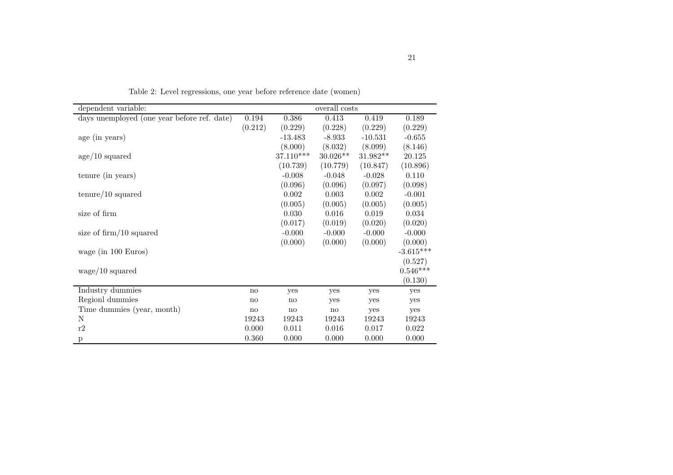| dependent variable:                         |              |               | overall costs |            |             |
|---------------------------------------------|--------------|---------------|---------------|------------|-------------|
| days unemployed (one year before ref. date) | 0.194        | 0.386         | 0.413         | 0.419      | 0.189       |
|                                             | (0.212)      | (0.229)       | (0.228)       | (0.229)    | (0.229)     |
| age (in years)                              |              | $-13.483$     | $-8.933$      | $-10.531$  | $-0.655$    |
|                                             |              | (8.000)       | (8.032)       | (8.099)    | (8.146)     |
| age/10 squared                              |              | 37.110***     | $30.026**$    | $31.982**$ | 20.125      |
|                                             |              | (10.739)      | (10.779)      | (10.847)   | (10.896)    |
| tenure (in years)                           |              | $-0.008$      | $-0.048$      | $-0.028$   | 0.110       |
|                                             |              | (0.096)       | (0.096)       | (0.097)    | (0.098)     |
| $\text{tenure}/10$ squared                  |              | 0.002         | 0.003         | 0.002      | $-0.001$    |
|                                             |              | (0.005)       | (0.005)       | (0.005)    | (0.005)     |
| size of firm                                |              | 0.030         | 0.016         | 0.019      | 0.034       |
|                                             |              | (0.017)       | (0.019)       | (0.020)    | (0.020)     |
| size of $\operatorname{firm}/10$ squared    |              | $-0.000$      | $-0.000$      | $-0.000$   | $-0.000$    |
|                                             |              | (0.000)       | (0.000)       | (0.000)    | (0.000)     |
| wage (in $100 \text{ Euros}$ )              |              |               |               |            | $-3.615***$ |
|                                             |              |               |               |            | (0.527)     |
| $wage/10$ squared                           |              |               |               |            | $0.546***$  |
|                                             |              |               |               |            | (0.130)     |
| Industry dummies                            | no           | yes           | yes           | yes        | yes         |
| Regionl dummies                             | $\mathbf{n}$ | no            | yes           | yes        | yes         |
| Time dummies (year, month)                  | no           | $\mathbf{no}$ | $\mathbf{no}$ | yes        | yes         |
| N                                           | 19243        | 19243         | 19243         | 19243      | 19243       |
| r2                                          | 0.000        | 0.011         | 0.016         | 0.017      | 0.022       |
| $\mathbf{p}$                                | 0.360        | 0.000         | 0.000         | 0.000      | 0.000       |

Table 2: Level regressions, one year before reference date (women)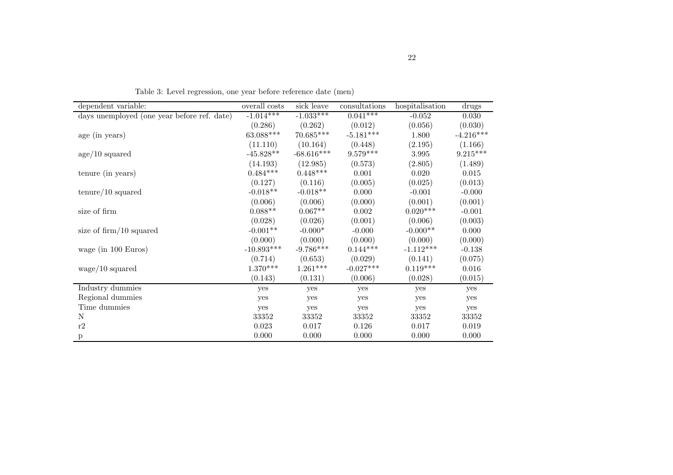| dependent variable:                         | overall costs | sick leave   | consultations | hospitalisation | drugs       |
|---------------------------------------------|---------------|--------------|---------------|-----------------|-------------|
| days unemployed (one year before ref. date) | $-1.014***$   | $-1.033***$  | $0.041***$    | $-0.052$        | 0.030       |
|                                             | (0.286)       | (0.262)      | (0.012)       | (0.056)         | (0.030)     |
| age (in years)                              | $63.088***$   | $70.685***$  | $-5.181***$   | 1.800           | $-4.216***$ |
|                                             | (11.110)      | (10.164)     | (0.448)       | (2.195)         | (1.166)     |
| age/10 squared                              | $-45.828**$   | $-68.616***$ | $9.579***$    | 3.995           | $9.215***$  |
|                                             | (14.193)      | (12.985)     | (0.573)       | (2.805)         | (1.489)     |
| tenure (in years)                           | $0.484***$    | $0.448***$   | 0.001         | 0.020           | 0.015       |
|                                             | (0.127)       | (0.116)      | (0.005)       | (0.025)         | (0.013)     |
| $\text{tenure}/10 \text{ squared}$          | $-0.018**$    | $-0.018**$   | 0.000         | $-0.001$        | $-0.000$    |
|                                             | (0.006)       | (0.006)      | (0.000)       | (0.001)         | (0.001)     |
| size of firm                                | $0.088**$     | $0.067**$    | 0.002         | $0.020^{***}\,$ | $-0.001$    |
|                                             | (0.028)       | (0.026)      | (0.001)       | (0.006)         | (0.003)     |
| size of $\lim_{10}$ squared                 | $-0.001**$    | $-0.000*$    | $-0.000$      | $-0.000**$      | 0.000       |
|                                             | (0.000)       | (0.000)      | (0.000)       | (0.000)         | (0.000)     |
| wage (in $100 \text{ Euros}$ )              | $-10.893***$  | $-9.786***$  | $0.144***$    | $-1.112***$     | $-0.138$    |
|                                             | (0.714)       | (0.653)      | (0.029)       | (0.141)         | (0.075)     |
| $wage/10$ squared                           | $1.370***$    | $1.261***$   | $-0.027***$   | $0.119***$      | 0.016       |
|                                             | (0.143)       | (0.131)      | (0.006)       | (0.028)         | (0.015)     |
| Industry dummies                            | yes           | yes          | yes           | yes             | yes         |
| Regional dummies                            | yes           | yes          | yes           | yes             | yes         |
| Time dummies                                | yes           | yes          | yes           | yes             | yes         |
| N                                           | $33352\,$     | 33352        | 33352         | 33352           | $33352\,$   |
| $\rm r2$                                    | 0.023         | 0.017        | 0.126         | $0.017\,$       | $0.019\,$   |
| $\mathbf{p}$                                | 0.000         | 0.000        | 0.000         | 0.000           | 0.000       |

Table 3: Level regression, one year before reference date (men)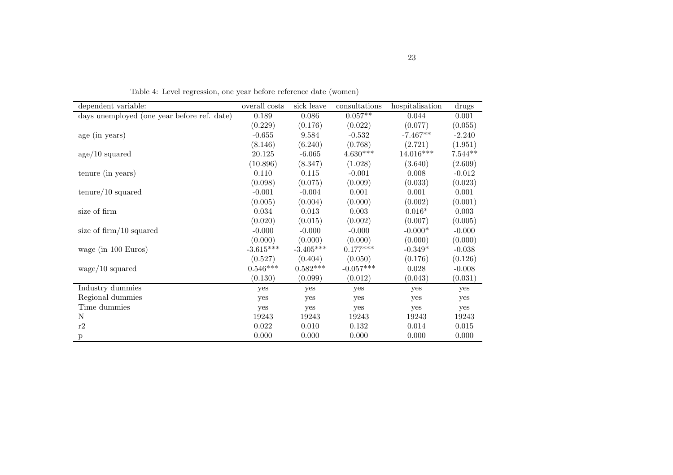| dependent variable:                         | overall costs | sick leave  | consultations | hospitalisation | drugs     |
|---------------------------------------------|---------------|-------------|---------------|-----------------|-----------|
| days unemployed (one year before ref. date) | 0.189         | 0.086       | $0.057**$     | 0.044           | 0.001     |
|                                             | (0.229)       | (0.176)     | (0.022)       | (0.077)         | (0.055)   |
| age (in years)                              | $-0.655$      | 9.584       | $-0.532$      | $-7.467**$      | $-2.240$  |
|                                             | (8.146)       | (6.240)     | (0.768)       | (2.721)         | (1.951)   |
| age/10 squared                              | 20.125        | $-6.065$    | $4.630***$    | $14.016***$     | $7.544**$ |
|                                             | (10.896)      | (8.347)     | (1.028)       | (3.640)         | (2.609)   |
| tenure (in years)                           | 0.110         | 0.115       | $-0.001$      | 0.008           | $-0.012$  |
|                                             | (0.098)       | (0.075)     | (0.009)       | (0.033)         | (0.023)   |
| $\text{tenure}/10$ squared                  | $-0.001$      | $-0.004$    | 0.001         | 0.001           | 0.001     |
|                                             | (0.005)       | (0.004)     | (0.000)       | (0.002)         | (0.001)   |
| size of firm                                | 0.034         | 0.013       | 0.003         | $0.016*$        | 0.003     |
|                                             | (0.020)       | (0.015)     | (0.002)       | (0.007)         | (0.005)   |
| size of $\lim_{10}$ squared                 | $-0.000$      | $-0.000$    | $-0.000$      | $-0.000*$       | $-0.000$  |
|                                             | (0.000)       | (0.000)     | (0.000)       | (0.000)         | (0.000)   |
| wage (in $100 \text{ Euros}$ )              | $-3.615***$   | $-3.405***$ | $0.177***$    | $-0.349*$       | $-0.038$  |
|                                             | (0.527)       | (0.404)     | (0.050)       | (0.176)         | (0.126)   |
| $wage/10$ squared                           | $0.546***$    | $0.582***$  | $-0.057***$   | 0.028           | $-0.008$  |
|                                             | (0.130)       | (0.099)     | (0.012)       | (0.043)         | (0.031)   |
| Industry dummies                            | yes           | yes         | yes           | yes             | yes       |
| Regional dummies                            | yes           | yes         | yes           | yes             | yes       |
| Time dummies                                | yes           | yes         | yes           | yes             | yes       |
| N                                           | 19243         | 19243       | 19243         | 19243           | 19243     |
| $\rm r2$                                    | 0.022         | 0.010       | 0.132         | 0.014           | 0.015     |
| p                                           | 0.000         | 0.000       | 0.000         | 0.000           | 0.000     |

Table 4: Level regression, one year before reference date (women)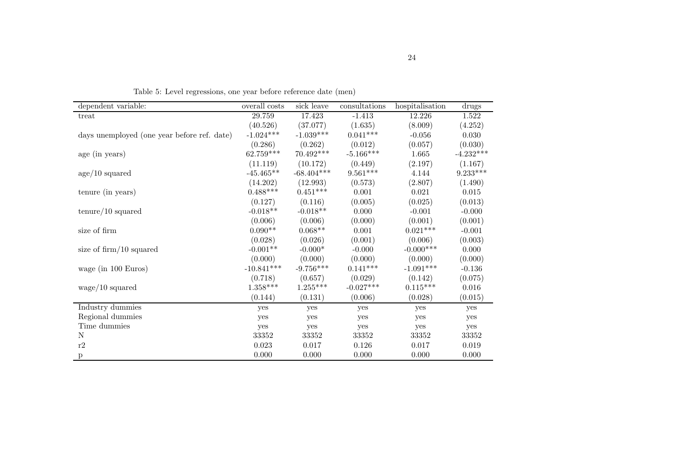| dependent variable:                         | overall costs | sick leave   | consultations          | hospitalisation | drugs       |
|---------------------------------------------|---------------|--------------|------------------------|-----------------|-------------|
| treat                                       | 29.759        | 17.423       | $-1.413$               | 12.226          | 1.522       |
|                                             | (40.526)      | (37.077)     | (1.635)                | (8.009)         | (4.252)     |
| days unemployed (one year before ref. date) | $-1.024***$   | $-1.039***$  | $0.041^{***}\;$        | $-0.056$        | 0.030       |
|                                             | (0.286)       | (0.262)      | (0.012)                | (0.057)         | (0.030)     |
| age (in years)                              | $62.759***$   | 70.492***    | $-5.166***$            | 1.665           | $-4.232***$ |
|                                             | (11.119)      | (10.172)     | (0.449)                | (2.197)         | (1.167)     |
| age/10 squared                              | $-45.465**$   | $-68.404***$ | $9.561^{\ast\ast\ast}$ | 4.144           | $9.233***$  |
|                                             | (14.202)      | (12.993)     | (0.573)                | (2.807)         | (1.490)     |
| tenure (in years)                           | $0.488***$    | $0.451***$   | 0.001                  | 0.021           | $0.015\,$   |
|                                             | (0.127)       | (0.116)      | (0.005)                | (0.025)         | (0.013)     |
| $\text{tenure}/10$ squared                  | $-0.018**$    | $-0.018**$   | 0.000                  | $-0.001$        | $-0.000$    |
|                                             | (0.006)       | (0.006)      | (0.000)                | (0.001)         | (0.001)     |
| size of firm                                | $0.090**$     | $0.068**$    | 0.001                  | $0.021***$      | $-0.001$    |
|                                             | (0.028)       | (0.026)      | (0.001)                | (0.006)         | (0.003)     |
| size of $\lim_{10}$ squared                 | $-0.001**$    | $-0.000*$    | $-0.000$               | $-0.000***$     | 0.000       |
|                                             | (0.000)       | (0.000)      | (0.000)                | (0.000)         | (0.000)     |
| wage (in 100 Euros)                         | $-10.841***$  | $-9.756***$  | $0.141***$             | $-1.091***$     | $-0.136$    |
|                                             | (0.718)       | (0.657)      | (0.029)                | (0.142)         | (0.075)     |
| $wage/10$ squared                           | $1.358***$    | $1.255***$   | $-0.027***$            | $0.115^{***}\,$ | 0.016       |
|                                             | (0.144)       | (0.131)      | (0.006)                | (0.028)         | (0.015)     |
| Industry dummies                            | yes           | yes          | yes                    | yes             | yes         |
| Regional dummies                            | yes           | yes          | yes                    | yes             | yes         |
| Time dummies                                | yes           | yes          | yes                    | yes             | yes         |
| N                                           | 33352         | 33352        | 33352                  | 33352           | 33352       |
| $\rm r2$                                    | 0.023         | 0.017        | 0.126                  | 0.017           | 0.019       |
| p                                           | 0.000         | $0.000\,$    | 0.000                  | 0.000           | 0.000       |

Table 5: Level regressions, one year before reference date (men)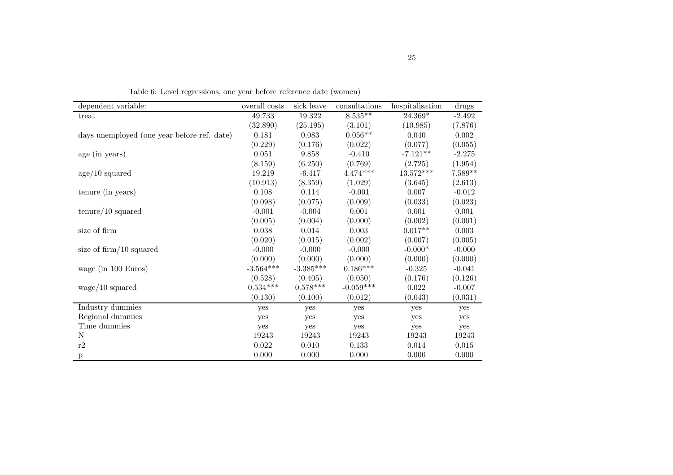| dependent variable:                         | overall costs | sick leave           | consultations | hospitalisation | drugs     |
|---------------------------------------------|---------------|----------------------|---------------|-----------------|-----------|
| treat                                       | 49.733        | 19.322               | $8.535***$    | 24.369*         | $-2.492$  |
|                                             | (32.890)      | (25.195)             | (3.101)       | (10.985)        | (7.876)   |
| days unemployed (one year before ref. date) | 0.181         | 0.083                | $0.056**$     | 0.040           | 0.002     |
|                                             | (0.229)       | (0.176)              | (0.022)       | (0.077)         | (0.055)   |
| age (in years)                              | $0.051\,$     | $\boldsymbol{9.858}$ | $-0.410$      | $-7.121**$      | $-2.275$  |
|                                             | (8.159)       | (6.250)              | (0.769)       | (2.725)         | (1.954)   |
| age/10 squared                              | 19.219        | $-6.417$             | $4.474***$    | $13.572***$     | $7.589**$ |
|                                             | (10.913)      | (8.359)              | (1.029)       | (3.645)         | (2.613)   |
| tenure (in years)                           | 0.108         | 0.114                | $-0.001$      | 0.007           | $-0.012$  |
|                                             | (0.098)       | (0.075)              | (0.009)       | (0.033)         | (0.023)   |
| $\text{tenure}/10$ squared                  | $-0.001$      | $-0.004$             | 0.001         | 0.001           | 0.001     |
|                                             | (0.005)       | (0.004)              | (0.000)       | (0.002)         | (0.001)   |
| size of firm                                | $0.038\,$     | $0.014\,$            | $0.003\,$     | $0.017**$       | 0.003     |
|                                             | (0.020)       | (0.015)              | (0.002)       | (0.007)         | (0.005)   |
| size of $\dim/10$ squared                   | $-0.000$      | $-0.000$             | $-0.000$      | $-0.000*$       | $-0.000$  |
|                                             | (0.000)       | (0.000)              | (0.000)       | (0.000)         | (0.000)   |
| wage (in 100 Euros)                         | $-3.564***$   | $-3.385***$          | $0.186***$    | $-0.325$        | $-0.041$  |
|                                             | (0.528)       | (0.405)              | (0.050)       | (0.176)         | (0.126)   |
| $wage/10$ squared                           | $0.534***$    | $0.578***$           | $-0.059***$   | 0.022           | $-0.007$  |
|                                             | (0.130)       | (0.100)              | (0.012)       | (0.043)         | (0.031)   |
| Industry dummies                            | yes           | yes                  | yes           | yes             | yes       |
| Regional dummies                            | yes           | yes                  | yes           | yes             | yes       |
| Time dummies                                | yes           | yes                  | yes           | yes             | yes       |
| N                                           | 19243         | 19243                | 19243         | 19243           | 19243     |
| $\rm r2$                                    | 0.022         | 0.010                | 0.133         | 0.014           | 0.015     |
| р                                           | 0.000         | 0.000                | 0.000         | 0.000           | 0.000     |
|                                             |               |                      |               |                 |           |

Table 6: Level regressions, one year before reference date (women)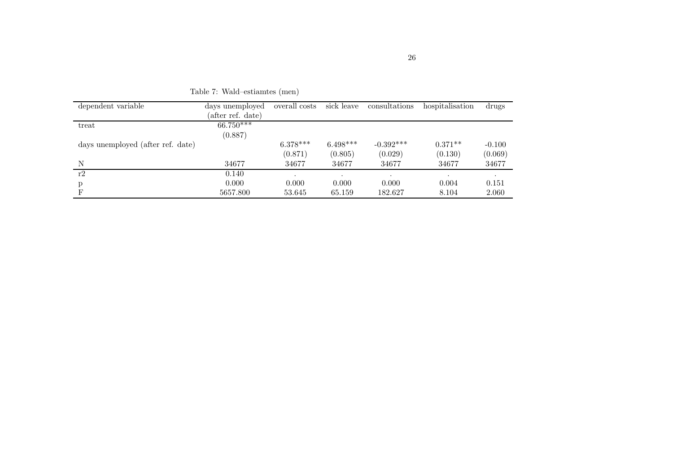| dependent variable                | days unemployed   | overall costs | sick leave | consultations | hospitalisation | drugs    |
|-----------------------------------|-------------------|---------------|------------|---------------|-----------------|----------|
|                                   | (after ref. date) |               |            |               |                 |          |
| treat                             | $66.750***$       |               |            |               |                 |          |
|                                   | (0.887)           |               |            |               |                 |          |
| days unemployed (after ref. date) |                   | $6.378***$    | $6.498***$ | $-0.392***$   | $0.371**$       | $-0.100$ |
|                                   |                   | (0.871)       | (0.805)    | (0.029)       | (0.130)         | (0.069)  |
| N                                 | 34677             | 34677         | 34677      | 34677         | 34677           | 34677    |
| r2                                | 0.140             | $\bullet$     | $\cdot$    |               |                 |          |
| p                                 | 0.000             | 0.000         | 0.000      | 0.000         | 0.004           | 0.151    |
| F                                 | 5657.800          | 53.645        | 65.159     | 182.627       | 8.104           | 2.060    |

Table 7: Wald–estiamtes (men)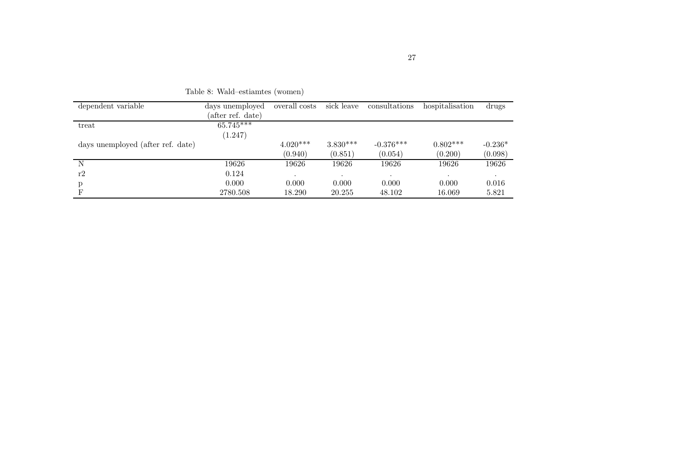| dependent variable                | days unemployed   | overall costs | sick leave | consultations | hospitalisation | drugs     |
|-----------------------------------|-------------------|---------------|------------|---------------|-----------------|-----------|
|                                   | (after ref. date) |               |            |               |                 |           |
| treat                             | $65.745***$       |               |            |               |                 |           |
|                                   | (1.247)           |               |            |               |                 |           |
| days unemployed (after ref. date) |                   | $4.020***$    | $3.830***$ | $-0.376***$   | $0.802***$      | $-0.236*$ |
|                                   |                   | (0.940)       | (0.851)    | (0.054)       | (0.200)         | (0.098)   |
| N                                 | 19626             | 19626         | 19626      | 19626         | 19626           | 19626     |
| r2                                | 0.124             |               |            |               |                 | $\cdot$   |
| р                                 | 0.000             | 0.000         | 0.000      | 0.000         | 0.000           | 0.016     |
|                                   | 2780.508          | 18.290        | 20.255     | 48.102        | 16.069          | 5.821     |

Table 8: Wald–estiamtes (women)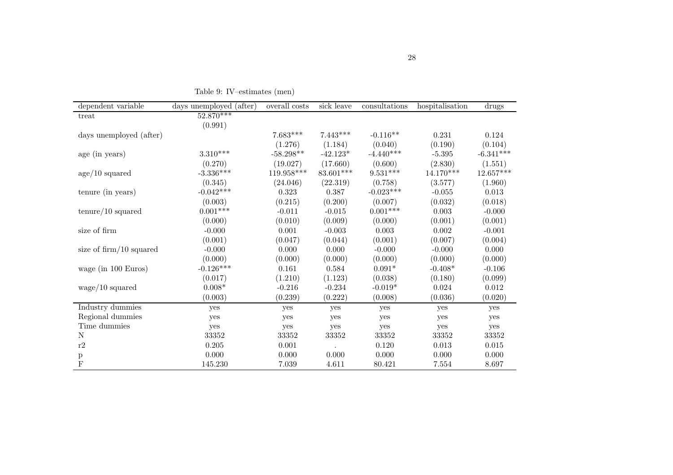| dependent variable          | days unemployed (after) | overall costs | sick leave | consultations   | hospitalisation | drugs       |
|-----------------------------|-------------------------|---------------|------------|-----------------|-----------------|-------------|
| treat                       | $52.870***$             |               |            |                 |                 |             |
|                             | (0.991)                 |               |            |                 |                 |             |
| days unemployed (after)     |                         | $7.683***$    | $7.443***$ | $-0.116**$      | 0.231           | 0.124       |
|                             |                         | (1.276)       | (1.184)    | (0.040)         | (0.190)         | (0.104)     |
| age (in years)              | $3.310***$              | $-58.298**$   | $-42.123*$ | $-4.440***$     | $-5.395$        | $-6.341***$ |
|                             | (0.270)                 | (19.027)      | (17.660)   | (0.600)         | (2.830)         | (1.551)     |
| $age/10$ squared            | $-3.336***$             | $119.958***$  | 83.601***  | $9.531***$      | 14.170***       | $12.657***$ |
|                             | (0.345)                 | (24.046)      | (22.319)   | (0.758)         | (3.577)         | (1.960)     |
| tenure (in years)           | $-0.042***$             | 0.323         | 0.387      | $-0.023***$     | $-0.055$        | 0.013       |
|                             | (0.003)                 | (0.215)       | (0.200)    | (0.007)         | (0.032)         | (0.018)     |
| $t$ enure/10 squared        | $0.001***$              | $-0.011$      | $-0.015$   | $0.001^{***}\;$ | 0.003           | $-0.000$    |
|                             | (0.000)                 | (0.010)       | (0.009)    | (0.000)         | (0.001)         | (0.001)     |
| size of firm                | $-0.000$                | 0.001         | $-0.003$   | 0.003           | 0.002           | $-0.001$    |
|                             | (0.001)                 | (0.047)       | (0.044)    | (0.001)         | (0.007)         | (0.004)     |
| size of $\lim_{10}$ squared | $-0.000$                | 0.000         | 0.000      | $-0.000$        | $-0.000$        | 0.000       |
|                             | (0.000)                 | (0.000)       | (0.000)    | (0.000)         | (0.000)         | (0.000)     |
| wage (in 100 Euros)         | $-0.126***$             | 0.161         | 0.584      | $0.091*$        | $-0.408*$       | $-0.106$    |
|                             | (0.017)                 | (1.210)       | (1.123)    | (0.038)         | (0.180)         | (0.099)     |
| wage/10 squared             | $0.008*$                | $-0.216$      | $-0.234$   | $-0.019*$       | 0.024           | 0.012       |
|                             | (0.003)                 | (0.239)       | (0.222)    | (0.008)         | (0.036)         | (0.020)     |
| Industry dummies            | yes                     | yes           | yes        | yes             | yes             | yes         |
| Regional dummies            | yes                     | yes           | yes        | yes             | yes             | yes         |
| Time dummies                | yes                     | yes           | yes        | yes             | yes             | yes         |
| $\mathbf N$                 | 33352                   | $33352\,$     | $33352\,$  | $33352\,$       | $33352\,$       | $33352\,$   |
| r2                          | 0.205                   | 0.001         |            | 0.120           | 0.013           | 0.015       |
| $\boldsymbol{\mathrm{p}}$   | 0.000                   | 0.000         | 0.000      | 0.000           | 0.000           | 0.000       |
| $\mathbf{F}$                | 145.230                 | $7.039\,$     | 4.611      | 80.421          | 7.554           | 8.697       |

Table 9: IV–estimates (men)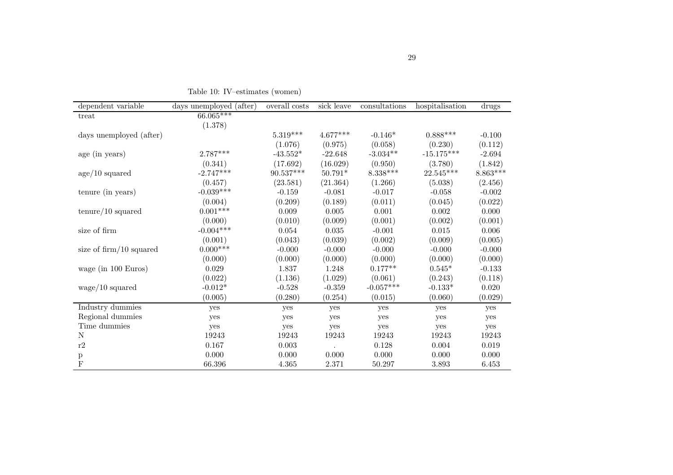| dependent variable          | days unemployed (after) | overall costs | sick leave | $const$ utions | hospitalisation | drugs      |
|-----------------------------|-------------------------|---------------|------------|----------------|-----------------|------------|
| treat                       | $66.065***$             |               |            |                |                 |            |
|                             | (1.378)                 |               |            |                |                 |            |
| days unemployed (after)     |                         | $5.319***$    | $4.677***$ | $-0.146*$      | $0.888***$      | $-0.100$   |
|                             |                         | (1.076)       | (0.975)    | (0.058)        | (0.230)         | (0.112)    |
| age (in years)              | $2.787***$              | $-43.552*$    | $-22.648$  | $-3.034**$     | $-15.175***$    | $-2.694$   |
|                             | (0.341)                 | (17.692)      | (16.029)   | (0.950)        | (3.780)         | (1.842)    |
| age/10 squared              | $-2.747***$             | 90.537***     | $50.791*$  | $8.338***$     | $22.545***$     | $8.863***$ |
|                             | (0.457)                 | (23.581)      | (21.364)   | (1.266)        | (5.038)         | (2.456)    |
| tenure (in years)           | $-0.039***$             | $-0.159$      | $-0.081$   | $-0.017$       | $-0.058$        | $-0.002$   |
|                             | (0.004)                 | (0.209)       | (0.189)    | (0.011)        | (0.045)         | (0.022)    |
| $\text{tenure}/10$ squared  | $0.001***$              | 0.009         | 0.005      | 0.001          | 0.002           | 0.000      |
|                             | (0.000)                 | (0.010)       | (0.009)    | (0.001)        | (0.002)         | (0.001)    |
| size of firm                | $-0.004***$             | 0.054         | $0.035\,$  | $-0.001$       | $0.015\,$       | 0.006      |
|                             | (0.001)                 | (0.043)       | (0.039)    | (0.002)        | (0.009)         | (0.005)    |
| size of $\lim_{10}$ squared | $0.000***$              | $-0.000$      | $-0.000$   | $-0.000$       | $-0.000$        | $-0.000$   |
|                             | (0.000)                 | (0.000)       | (0.000)    | (0.000)        | (0.000)         | (0.000)    |
| wage (in 100 Euros)         | 0.029                   | 1.837         | 1.248      | $0.177**$      | $0.545*$        | $-0.133$   |
|                             | (0.022)                 | (1.136)       | (1.029)    | (0.061)        | (0.243)         | (0.118)    |
| $wage/10$ squared           | $-0.012*$               | $-0.528$      | $-0.359$   | $-0.057***$    | $-0.133*$       | 0.020      |
|                             | (0.005)                 | (0.280)       | (0.254)    | (0.015)        | (0.060)         | (0.029)    |
| Industry dummies            | yes                     | yes           | yes        | yes            | yes             | yes        |
| Regional dummies            | yes                     | yes           | yes        | yes            | yes             | yes        |
| Time dummies                | yes                     | yes           | yes        | yes            | yes             | yes        |
| N                           | 19243                   | 19243         | 19243      | 19243          | 19243           | 19243      |
| $\rm r2$                    | 0.167                   | $\,0.003\,$   |            | 0.128          | $0.004\,$       | 0.019      |
| р                           | 0.000                   | 0.000         | 0.000      | 0.000          | 0.000           | 0.000      |
| $\mathbf{F}$                | 66.396                  | 4.365         | 2.371      | 50.297         | 3.893           | 6.453      |

Table 10: IV–estimates (women)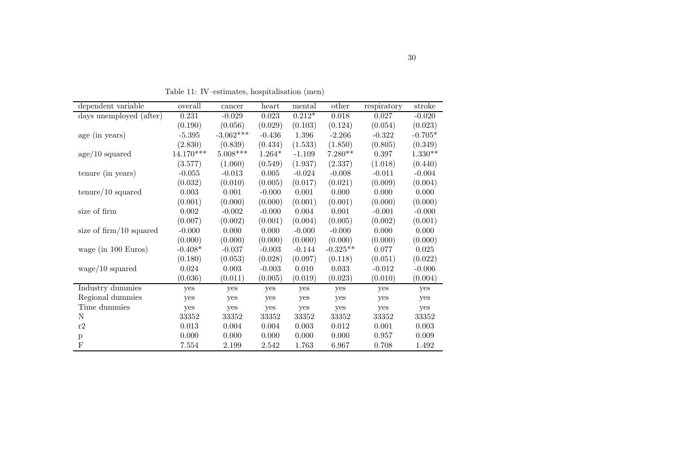| dependent variable          | overall     | cancer      | heart    | mental    | other      | respiratory | stroke    |
|-----------------------------|-------------|-------------|----------|-----------|------------|-------------|-----------|
| days unemployed (after)     | 0.231       | $-0.029$    | 0.023    | $0.212*$  | 0.018      | 0.027       | $-0.020$  |
|                             | (0.190)     | (0.056)     | (0.029)  | (0.103)   | (0.124)    | (0.054)     | (0.023)   |
| age (in years)              | $-5.395$    | $-3.062***$ | $-0.436$ | 1.396     | $-2.266$   | $-0.322$    | $-0.705*$ |
|                             | (2.830)     | (0.839)     | (0.434)  | (1.533)   | (1.850)    | (0.805)     | (0.349)   |
| age/10 squared              | $14.170***$ | $5.008***$  | $1.264*$ | $-1.109$  | $7.280**$  | 0.397       | $1.330**$ |
|                             | (3.577)     | (1.060)     | (0.549)  | (1.937)   | (2.337)    | (1.018)     | (0.440)   |
| tenure (in years)           | $-0.055$    | $-0.013$    | 0.005    | $-0.024$  | $-0.008$   | $-0.011$    | $-0.004$  |
|                             | (0.032)     | (0.010)     | (0.005)  | (0.017)   | (0.021)    | (0.009)     | (0.004)   |
| $\text{tenure}/10$ squared  | 0.003       | 0.001       | $-0.000$ | $0.001\,$ | 0.000      | 0.000       | 0.000     |
|                             | (0.001)     | (0.000)     | (0.000)  | (0.001)   | (0.001)    | (0.000)     | (0.000)   |
| size of firm                | 0.002       | $-0.002$    | $-0.000$ | 0.004     | 0.001      | $-0.001$    | $-0.000$  |
|                             | (0.007)     | (0.002)     | (0.001)  | (0.004)   | (0.005)    | (0.002)     | (0.001)   |
| size of $\lim_{10}$ squared | $-0.000$    | 0.000       | 0.000    | $-0.000$  | $-0.000$   | 0.000       | 0.000     |
|                             | (0.000)     | (0.000)     | (0.000)  | (0.000)   | (0.000)    | (0.000)     | (0.000)   |
| wage (in 100 Euros)         | $-0.408*$   | $-0.037$    | $-0.003$ | $-0.144$  | $-0.325**$ | 0.077       | $0.025\,$ |
|                             | (0.180)     | (0.053)     | (0.028)  | (0.097)   | (0.118)    | (0.051)     | (0.022)   |
| wage/10 squared             | 0.024       | 0.003       | $-0.003$ | 0.010     | 0.033      | $-0.012$    | $-0.006$  |
|                             | (0.036)     | (0.011)     | (0.005)  | (0.019)   | (0.023)    | (0.010)     | (0.004)   |
| Industry dummies            | yes         | yes         | yes      | yes       | yes        | yes         | yes       |
| Regional dummies            | yes         | yes         | yes      | yes       | yes        | yes         | yes       |
| Time dummies                | yes         | yes         | yes      | yes       | yes        | yes         | yes       |
| N                           | 33352       | 33352       | 33352    | 33352     | 33352      | 33352       | 33352     |
| r2                          | 0.013       | 0.004       | 0.004    | 0.003     | 0.012      | 0.001       | 0.003     |
| p                           | 0.000       | 0.000       | 0.000    | 0.000     | 0.000      | 0.957       | 0.009     |
| $_{\rm F}$                  | 7.554       | 2.199       | 2.542    | 1.763     | 6.967      | 0.708       | 1.492     |

Table 11: IV–estimates, hospitalisation (men)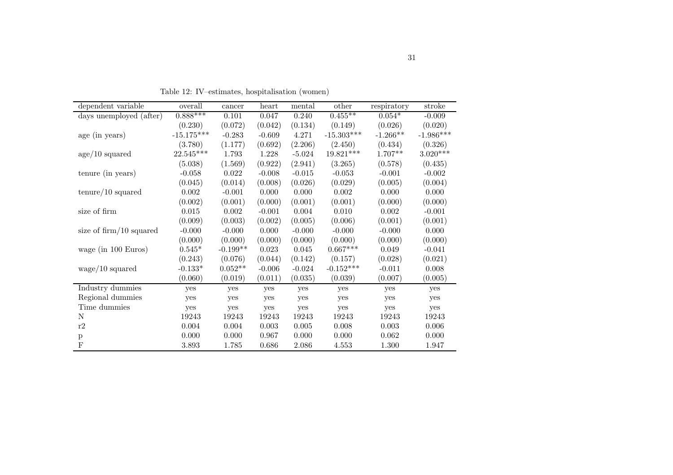| dependent variable             | overall      | cancer     | heart    | mental   | other        | respiratory | stroke      |
|--------------------------------|--------------|------------|----------|----------|--------------|-------------|-------------|
| days unemployed (after)        | $0.888***$   | 0.101      | 0.047    | 0.240    | $0.455***$   | $0.054*$    | $-0.009$    |
|                                |              |            |          |          |              |             |             |
|                                | (0.230)      | (0.072)    | (0.042)  | (0.134)  | (0.149)      | (0.026)     | (0.020)     |
| age (in years)                 | $-15.175***$ | $-0.283$   | $-0.609$ | 4.271    | $-15.303***$ | $-1.266**$  | $-1.986***$ |
|                                | (3.780)      | (1.177)    | (0.692)  | (2.206)  | (2.450)      | (0.434)     | (0.326)     |
| age/10 squared                 | 22.545***    | 1.793      | 1.228    | $-5.024$ | 19.821***    | 1.707**     | $3.020***$  |
|                                | (5.038)      | (1.569)    | (0.922)  | (2.941)  | (3.265)      | (0.578)     | (0.435)     |
| tenure (in years)              | $-0.058$     | 0.022      | $-0.008$ | $-0.015$ | $-0.053$     | $-0.001$    | $-0.002$    |
|                                | (0.045)      | (0.014)    | (0.008)  | (0.026)  | (0.029)      | (0.005)     | (0.004)     |
| $\text{tenure}/10$ squared     | 0.002        | $-0.001$   | 0.000    | 0.000    | 0.002        | 0.000       | 0.000       |
|                                | (0.002)      | (0.001)    | (0.000)  | (0.001)  | (0.001)      | (0.000)     | (0.000)     |
| size of firm                   | 0.015        | 0.002      | $-0.001$ | 0.004    | 0.010        | 0.002       | $-0.001$    |
|                                | (0.009)      | (0.003)    | (0.002)  | (0.005)  | (0.006)      | (0.001)     | (0.001)     |
| size of $\dim/10$ squared      | $-0.000$     | $-0.000$   | 0.000    | $-0.000$ | $-0.000$     | $-0.000$    | 0.000       |
|                                | (0.000)      | (0.000)    | (0.000)  | (0.000)  | (0.000)      | (0.000)     | (0.000)     |
| wage (in $100 \text{ Euros}$ ) | $0.545*$     | $-0.199**$ | 0.023    | 0.045    | $0.667***$   | 0.049       | $-0.041$    |
|                                | (0.243)      | (0.076)    | (0.044)  | (0.142)  | (0.157)      | (0.028)     | (0.021)     |
| $wage/10$ squared              | $-0.133*$    | $0.052**$  | $-0.006$ | $-0.024$ | $-0.152***$  | $-0.011$    | 0.008       |
|                                | (0.060)      | (0.019)    | (0.011)  | (0.035)  | (0.039)      | (0.007)     | (0.005)     |
| Industry dummies               | yes          | yes        | yes      | yes      | yes          | yes         | yes         |
| Regional dummies               | yes          | yes        | yes      | yes      | yes          | yes         | yes         |
| Time dummies                   | yes          | yes        | yes      | yes      | yes          | yes         | yes         |
| N                              | 19243        | 19243      | 19243    | 19243    | 19243        | 19243       | 19243       |
| $\rm r2$                       | 0.004        | 0.004      | 0.003    | 0.005    | 0.008        | $0.003\,$   | $0.006\,$   |
| p                              | 0.000        | 0.000      | 0.967    | 0.000    | 0.000        | 0.062       | 0.000       |
| $\mathbf{F}$                   | 3.893        | 1.785      | 0.686    | 2.086    | 4.553        | 1.300       | 1.947       |

Table 12: IV–estimates, hospitalisation (women)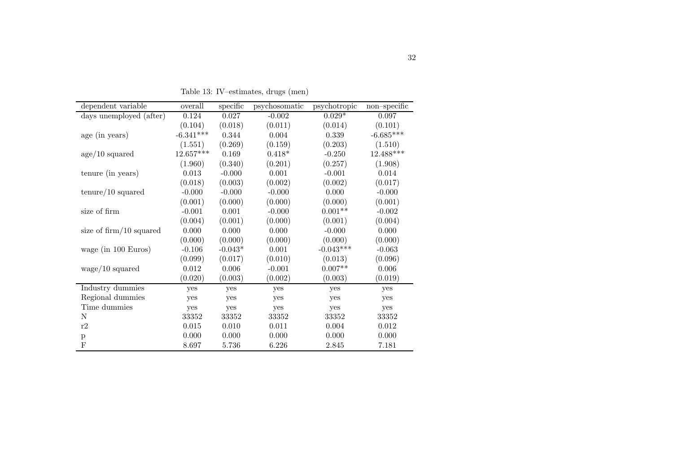| dependent variable             | overall     | specific  | psychosomatic | psychotropic | $non\text{-specific}$ |
|--------------------------------|-------------|-----------|---------------|--------------|-----------------------|
| days unemployed (after)        | 0.124       | 0.027     | $-0.002$      | $0.029*$     | 0.097                 |
|                                | (0.104)     | (0.018)   | (0.011)       | (0.014)      | (0.101)               |
| age (in years)                 | $-6.341***$ | 0.344     | 0.004         | 0.339        | $-6.685***$           |
|                                | (1.551)     | (0.269)   | (0.159)       | (0.203)      | (1.510)               |
| age/10 squared                 | $12.657***$ | 0.169     | $0.418*$      | $-0.250$     | 12.488***             |
|                                | (1.960)     | (0.340)   | (0.201)       | (0.257)      | (1.908)               |
| tenure (in years)              | 0.013       | $-0.000$  | 0.001         | $-0.001$     | 0.014                 |
|                                | (0.018)     | (0.003)   | (0.002)       | (0.002)      | (0.017)               |
| $\text{tenure}/10$ squared     | $-0.000$    | $-0.000$  | $-0.000$      | 0.000        | $-0.000$              |
|                                | (0.001)     | (0.000)   | (0.000)       | (0.000)      | (0.001)               |
| size of firm                   | $-0.001$    | 0.001     | $-0.000$      | $0.001**$    | $-0.002$              |
|                                | (0.004)     | (0.001)   | (0.000)       | (0.001)      | (0.004)               |
| size of $\dim/10$ squared      | 0.000       | 0.000     | 0.000         | $-0.000$     | 0.000                 |
|                                | (0.000)     | (0.000)   | (0.000)       | (0.000)      | (0.000)               |
| wage (in $100 \text{ Euros}$ ) | $-0.106$    | $-0.043*$ | 0.001         | $-0.043***$  | $-0.063$              |
|                                | (0.099)     | (0.017)   | (0.010)       | (0.013)      | (0.096)               |
| $wage/10$ squared              | 0.012       | 0.006     | $-0.001$      | $0.007**$    | 0.006                 |
|                                | (0.020)     | (0.003)   | (0.002)       | (0.003)      | (0.019)               |
| Industry dummies               | yes         | yes       | yes           | yes          | yes                   |
| Regional dummies               | yes         | yes       | yes           | yes          | yes                   |
| Time dummies                   | yes         | yes       | yes           | yes          | yes                   |
| N                              | 33352       | 33352     | 33352         | 33352        | 33352                 |
| r2                             | 0.015       | 0.010     | 0.011         | 0.004        | 0.012                 |
| p                              | 0.000       | 0.000     | 0.000         | 0.000        | 0.000                 |
| F                              | 8.697       | 5.736     | 6.226         | 2.845        | 7.181                 |

Table 13: IV–estimates, drugs (men)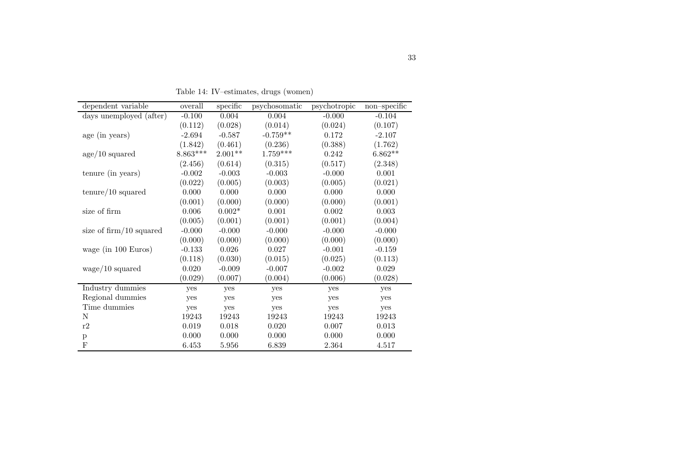| dependent variable          | overall    | specific  | psychosomatic | psychotropic | $non-specific$ |
|-----------------------------|------------|-----------|---------------|--------------|----------------|
| days unemployed (after)     | $-0.100$   | 0.004     | 0.004         | $-0.000$     | $-0.104$       |
|                             | (0.112)    | (0.028)   | (0.014)       | (0.024)      | (0.107)        |
| age (in years)              | $-2.694$   | $-0.587$  | $-0.759**$    | 0.172        | $-2.107$       |
|                             | (1.842)    | (0.461)   | (0.236)       | (0.388)      | (1.762)        |
| age/10 squared              | $8.863***$ | $2.001**$ | $1.759***$    | 0.242        | $6.862**$      |
|                             | (2.456)    | (0.614)   | (0.315)       | (0.517)      | (2.348)        |
| tenure (in years)           | $-0.002$   | $-0.003$  | $-0.003$      | $-0.000$     | 0.001          |
|                             | (0.022)    | (0.005)   | (0.003)       | (0.005)      | (0.021)        |
| $t$ enure/10 squared        | 0.000      | 0.000     | 0.000         | 0.000        | 0.000          |
|                             | (0.001)    | (0.000)   | (0.000)       | (0.000)      | (0.001)        |
| size of firm                | $0.006\,$  | $0.002*$  | $0.001\,$     | $0.002\,$    | $0.003\,$      |
|                             | (0.005)    | (0.001)   | (0.001)       | (0.001)      | (0.004)        |
| size of $\lim_{10}$ squared | $-0.000$   | $-0.000$  | $-0.000$      | $-0.000$     | $-0.000$       |
|                             | (0.000)    | (0.000)   | (0.000)       | (0.000)      | (0.000)        |
| wage (in 100 Euros)         | $-0.133$   | $0.026\,$ | $0.027\,$     | $-0.001$     | $-0.159$       |
|                             | (0.118)    | (0.030)   | (0.015)       | (0.025)      | (0.113)        |
| wage/10 squared             | $0.020\,$  | $-0.009$  | $-0.007$      | $-0.002$     | $\,0.029\,$    |
|                             | (0.029)    | (0.007)   | (0.004)       | (0.006)      | (0.028)        |
| Industry dummies            | yes        | yes       | yes           | yes          | yes            |
| Regional dummies            | yes        | yes       | yes           | yes          | yes            |
| Time dummies                | yes        | yes       | yes           | yes          | yes            |
| N                           | 19243      | 19243     | 19243         | 19243        | 19243          |
| r2                          | 0.019      | 0.018     | 0.020         | 0.007        | $\,0.013\,$    |
| $\mathbf{p}$                | 0.000      | 0.000     | 0.000         | 0.000        | 0.000          |
| F                           | 6.453      | 5.956     | 6.839         | 2.364        | 4.517          |

Table 14: IV–estimates, drugs (women)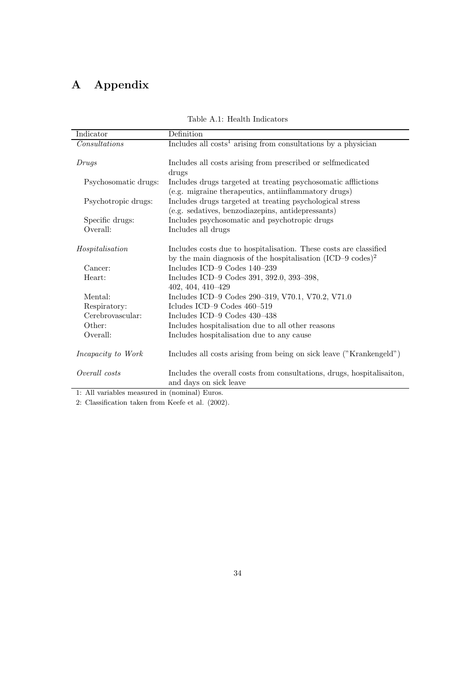# A Appendix

| Indicator                      | Definition                                                              |
|--------------------------------|-------------------------------------------------------------------------|
| Consultations                  | Includes all $costs1$ arising from consultations by a physician         |
|                                |                                                                         |
| Drugs                          | Includes all costs arising from prescribed or selfmedicated             |
|                                | drugs                                                                   |
| Psychosomatic drugs:           | Includes drugs targeted at treating psychosomatic afflictions           |
|                                | (e.g. migraine therapeutics, antiinflammatory drugs)                    |
| Psychotropic drugs:            | Includes drugs targeted at treating psychological stress                |
|                                | (e.g. sedatives, benzodiazepins, antidepressants)                       |
| Specific drugs:                | Includes psychosomatic and psychotropic drugs                           |
| Overall:                       | Includes all drugs                                                      |
| Hospitalisation                | Includes costs due to hospitalisation. These costs are classified       |
|                                | by the main diagnosis of the hospitalisation (ICD-9 codes) <sup>2</sup> |
| Cancer:                        | Includes ICD-9 Codes 140-239                                            |
| Heart:                         | Includes ICD-9 Codes 391, 392.0, 393-398,                               |
|                                | 402, 404, 410-429                                                       |
| Mental:                        | Includes ICD-9 Codes 290-319, V70.1, V70.2, V71.0                       |
| Respiratory:                   | Icludes ICD-9 Codes 460-519                                             |
| Cerebrovascular:               | Includes ICD-9 Codes 430-438                                            |
| Other:                         | Includes hospitalisation due to all other reasons                       |
| Overall:                       | Includes hospitalisation due to any cause                               |
| <i>Incapacity to Work</i>      | Includes all costs arising from being on sick leave ("Krankengeld")     |
|                                |                                                                         |
| Overall costs                  | Includes the overall costs from consultations, drugs, hospitalisation,  |
|                                | and days on sick leave                                                  |
| $\cdots$<br>1 A 11<br>$\cdots$ | $\cdots$ $\cdots$                                                       |

Table A.1: Health Indicators

1: All variables measured in (nominal) Euros.

2: Classification taken from Keefe et al. (2002).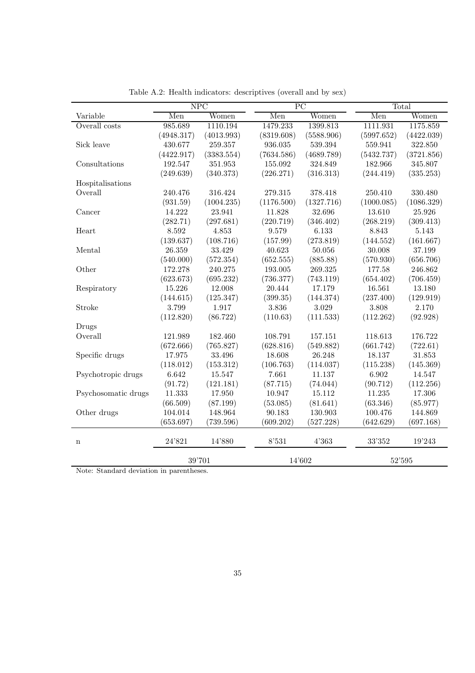|                     | NPC        |            | $\overline{PC}$ |            |            | Total      |  |
|---------------------|------------|------------|-----------------|------------|------------|------------|--|
| Variable            | Men        | Women      | Men             | Women      | Men        | Women      |  |
| Overall costs       | 985.689    | 1110.194   | 1479.233        | 1399.813   | 1111.931   | 1175.859   |  |
|                     | (4948.317) | (4013.993) | (8319.608)      | (5588.906) | (5997.652) | (4422.039) |  |
| Sick leave          | 430.677    | 259.357    | 936.035         | 539.394    | 559.941    | 322.850    |  |
|                     | (4422.917) | (3383.554) | (7634.586)      | (4689.789) | (5432.737) | (3721.856) |  |
| Consultations       | 192.547    | 351.953    | 155.092         | 324.849    | 182.966    | 345.807    |  |
|                     | (249.639)  | (340.373)  | (226.271)       | (316.313)  | (244.419)  | (335.253)  |  |
| Hospitalisations    |            |            |                 |            |            |            |  |
| Overall             | 240.476    | 316.424    | 279.315         | 378.418    | 250.410    | 330.480    |  |
|                     | (931.59)   | (1004.235) | (1176.500)      | (1327.716) | (1000.085) | (1086.329) |  |
| Cancer              | 14.222     | 23.941     | 11.828          | 32.696     | 13.610     | 25.926     |  |
|                     | (282.71)   | (297.681)  | (220.719)       | (346.402)  | (268.219)  | (309.413)  |  |
| Heart               | 8.592      | 4.853      | 9.579           | 6.133      | 8.843      | 5.143      |  |
|                     | (139.637)  | (108.716)  | (157.99)        | (273.819)  | (144.552)  | (161.667)  |  |
| Mental              | 26.359     | 33.429     | 40.623          | 50.056     | 30.008     | 37.199     |  |
|                     | (540.000)  | (572.354)  | (652.555)       | (885.88)   | (570.930)  | (656.706)  |  |
| Other               | 172.278    | 240.275    | 193.005         | 269.325    | 177.58     | 246.862    |  |
|                     | (623.673)  | (695.232)  | (736.377)       | (743.119)  | (654.402)  | (706.459)  |  |
| Respiratory         | 15.226     | 12.008     | 20.444          | 17.179     | 16.561     | 13.180     |  |
|                     | (144.615)  | (125.347)  | (399.35)        | (144.374)  | (237.400)  | (129.919)  |  |
| Stroke              | 3.799      | 1.917      | 3.836           | 3.029      | 3.808      | 2.170      |  |
|                     | (112.820)  | (86.722)   | (110.63)        | (111.533)  | (112.262)  | (92.928)   |  |
| Drugs               |            |            |                 |            |            |            |  |
| Overall             | 121.989    | 182.460    | 108.791         | 157.151    | 118.613    | 176.722    |  |
|                     | (672.666)  | (765.827)  | (628.816)       | (549.882)  | (661.742)  | (722.61)   |  |
| Specific drugs      | 17.975     | 33.496     | 18.608          | 26.248     | 18.137     | 31.853     |  |
|                     | (118.012)  | (153.312)  | (106.763)       | (114.037)  | (115.238)  | (145.369)  |  |
| Psychotropic drugs  | 6.642      | 15.547     | 7.661           | 11.137     | 6.902      | 14.547     |  |
|                     | (91.72)    | (121.181)  | (87.715)        | (74.044)   | (90.712)   | (112.256)  |  |
| Psychosomatic drugs | 11.333     | 17.950     | 10.947          | 15.112     | 11.235     | 17.306     |  |
|                     | (66.509)   | (87.199)   | (53.085)        | (81.641)   | (63.346)   | (85.977)   |  |
| Other drugs         | 104.014    | 148.964    | 90.183          | 130.903    | 100.476    | 144.869    |  |
|                     | (653.697)  | (739.596)  | (609.202)       | (527.228)  | (642.629)  | (697.168)  |  |
| $\mathbf n$         | 24'821     | 14'880     | 8'531           | 4'363      | 33'352     | 19'243     |  |
|                     |            |            |                 |            |            |            |  |
|                     | 39'701     |            |                 | 14'602     |            | 52'595     |  |

Table A.2: Health indicators: descriptives (overall and by sex)

Note: Standard deviation in parentheses.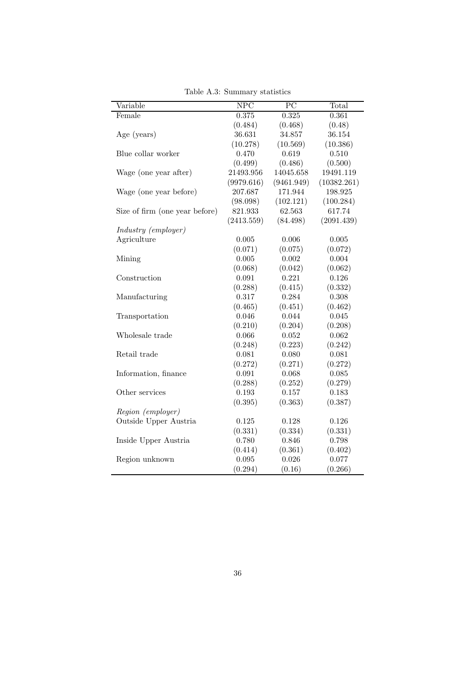| Variable                       | NPC        | $\overline{PC}$ | Total       |
|--------------------------------|------------|-----------------|-------------|
| Female                         | 0.375      | 0.325           | 0.361       |
|                                | (0.484)    | (0.468)         | (0.48)      |
| Age (years)                    | 36.631     | 34.857          | 36.154      |
|                                | (10.278)   | (10.569)        | (10.386)    |
| Blue collar worker             | 0.470      | 0.619           | 0.510       |
|                                | (0.499)    | (0.486)         | (0.500)     |
| Wage (one year after)          | 21493.956  | 14045.658       | 19491.119   |
|                                | (9979.616) | (9461.949)      | (10382.261) |
| Wage (one year before)         | 207.687    | 171.944         | 198.925     |
|                                | (98.098)   | (102.121)       | (100.284)   |
| Size of firm (one year before) | 821.933    | 62.563          | 617.74      |
|                                | (2413.559) | (84.498)        | (2091.439)  |
| Industry (employer)            |            |                 |             |
| Agriculture                    | 0.005      | 0.006           | 0.005       |
|                                | (0.071)    | (0.075)         | (0.072)     |
| Mining                         | 0.005      | 0.002           | 0.004       |
|                                | (0.068)    | (0.042)         | (0.062)     |
| Construction                   | 0.091      | 0.221           | 0.126       |
|                                | (0.288)    | (0.415)         | (0.332)     |
| Manufacturing                  | 0.317      | 0.284           | $0.308\,$   |
|                                | (0.465)    | (0.451)         | (0.462)     |
| Transportation                 | 0.046      | 0.044           | 0.045       |
|                                | (0.210)    | (0.204)         | (0.208)     |
| Wholesale trade                | 0.066      | 0.052           | 0.062       |
|                                | (0.248)    | (0.223)         | (0.242)     |
| Retail trade                   | 0.081      | 0.080           | 0.081       |
|                                | (0.272)    | (0.271)         | (0.272)     |
| Information, finance           | 0.091      | 0.068           | 0.085       |
|                                | (0.288)    | (0.252)         | (0.279)     |
| Other services                 | 0.193      | 0.157           | 0.183       |
|                                | (0.395)    | (0.363)         | (0.387)     |
| Region (employer)              |            |                 |             |
| Outside Upper Austria          | 0.125      | 0.128           | 0.126       |
|                                | (0.331)    | (0.334)         | (0.331)     |
| Inside Upper Austria           | 0.780      | 0.846           | 0.798       |
|                                | (0.414)    | (0.361)         | (0.402)     |
| Region unknown                 | 0.095      | 0.026           | 0.077       |
|                                | (0.294)    | (0.16)          | (0.266)     |

Table A.3: Summary statistics